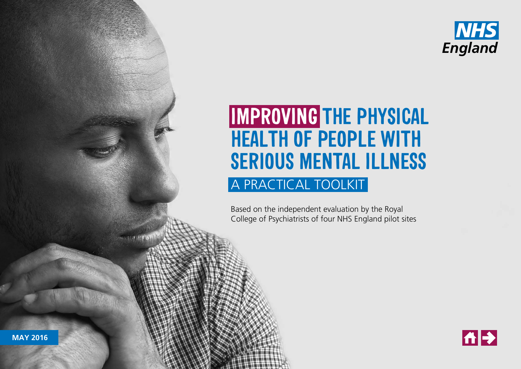

# **IMPROVING THE PHYSICAL HEALTH OF PEOPLE WITH SERIOUS MENTAL ILLNESS** A PRACTICAL TOOLKIT

**IMPROVING THE PHYSICAL HEALTH OF PEOPLE WITH SERIOUS MENTAL ILLNESS:** A PRACTICAL TOOLKIT

Based on the independent evaluation by the Royal College of Psychiatrists of four NHS England pilot sites



**MAY 2016**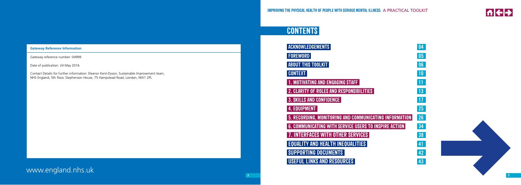

www.england.nhs.uk

# **CONTENTS**

| <b>ACKNOWLEDGEMENTS</b>                                | 04 |
|--------------------------------------------------------|----|
| <b>FOREWORD</b>                                        | 05 |
| <b>ABOUT THIS TOOLKIT</b>                              | 06 |
| <b>CONTEXT</b>                                         | 10 |
| . MOTIVATING AND ENGAGING STAFF                        | 11 |
| 2. CLARITY OF ROLES AND RESPONSIBILITIES               | 13 |
| <b>3. SKILLS AND CONFIDENCE</b>                        | 17 |
| 4. EQUIPMENT                                           | 25 |
| 5. RECORDING, MONITORING AND COMMUNICATING INFORMATION | 26 |
| 6. COMMUNICATING WITH SERVICE USERS TO INSPIRE ACTION  | 34 |
| . INTERFACES WITH OTHER SERVICES                       | 38 |
| <b>EQUALITY AND HEALTH INEQUALITIES</b>                | 41 |
| <b>SUPPORTING DOCUMENTS</b>                            | 42 |
| <b>USEFUL LINKS AND RESOURCES</b>                      | 43 |



# <span id="page-1-0"></span>**Gateway Reference Information**

Gateway reference number: 04999

Date of publication: 24 May 2016

Contact Details for further information: Eleanor Kent-Dyson, Sustainable Improvement team, NHS England, 5th floor, Stephenson House, 75 Hampstead Road, London, NW1 2PL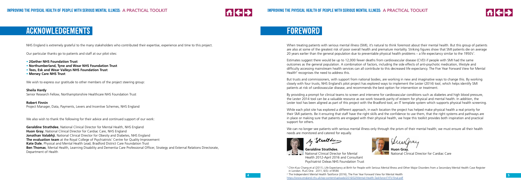

When treating patients with serious mental illness (SMI), it's natural to think foremost about their mental health. But this group of patients are also at some of the greatest risk of poor overall health and premature mortality. Striking figures show that SMI patients die on average 20 years earlier than the general population due to preventable physical health problems – a life expectancy similar to the 1950's<sup>1</sup>.



Estimates suggest there would be up to 12,000 fewer deaths from cardiovascular disease (CVD) if people with SMI had the same outcomes as the general population. A combination of factors, including the side effects of anti-psychotic medication, lifestyle and difficulty accessing mainstream health services can all contribute to this decreased life expectancy. The Five Year Forward View for Mental Health<sup>2</sup> recognises the need to address this.

We can no longer see patients with serious mental illness only through the prism of their mental health; we must ensure all their health needs are monitored and catered for equally.

Steather

**Geraldine Strathdee**,<br>**Hund Glinical Director for Mental** Health 2012-April 2016 and Consultant Psychiatrist Oxleas NHS Foundation Trust

But trusts and commissioners, with support from national bodies, are working in new and imaginative ways to change this. By working closely with four trusts, NHS England's pilot project has explored ways to implement the Lester (2014) tool, which helps identify SMI patients at risk of cardiovascular disease, and recommends the best option for intervention or treatment.

By providing a prompt for clinical teams to screen and intervene for cardiovascular conditions such as diabetes and high blood pressure, the Lester 2014 tool can be a valuable resource as we work towards parity of esteem for physical and mental health. In addition, the Lester tool has been aligned as part of this project with the Bradford tool, an IT template system which supports physical health screening.

While each pilot site has explored a different approach, in each location the project has helped make physical health a real priority for their SMI patients. Be it ensuring that staff have the right skills and the confidence to use them, that the right systems and pathways are in place or making sure that patients are engaged with their physical health, we hope this toolkit provides both inspiration and practical support for others.

National Clinical Director for Cardiac Care

NHS England is extremely grateful to the many stakeholders who contributed their expertise, experience and time to this project.

Our particular thanks go to patients and staff at our pilot sites:

- **• 2Gether NHS Foundation Trust**
- **• Northumberland, Tyne and Wear NHS Foundation Trust**
- **• Tees, Esk and Wear Valleys NHS Foundation Trust**
- **• Mersey Care NHS Trust**

We wish to express our gratitude to other members of the project steering group:

**Sheila Hardy** Senior Research Fellow, Northamptonshire Healthcare NHS Foundation Trust

#### **Robert Finnin**

Project Manager, Data, Payments, Levers and Incentive Schemes, NHS England

We also wish to thank the following for their advice and continued support of our work:

**Geraldine Strathdee**, National Clinical Director for Mental Health, NHS England **Huon Gray**, National Clinical Director for Cardiac Care, NHS England **Jonathan Valabhii**, National Clinical Director for Obesity and Diabetes, NHS England **The evaluation team** at the Royal College of Psychiatrists' Centre for Quality Improvement **Kate Dale**, Physical and Mental Health Lead, Bradford District Care Foundation Trust **Ben Thomas**, Mental Health, Learning Disability and Dementia Care Professional Officer, Strategy and External Relations Directorate, Department of Health

# **ACKNOWLEDGEMENTS FOREWORD**

<sup>1</sup> Chin-Kuo Chang et al (2011), Life Expectancy at Birth for People with Serious Mental Illness and Other Major Disorders from a Secondary Mental Health Case Register in London. PLoS One. 2011; 6(5): e19590

<sup>2</sup> The Independent Mental Health Taskforce (2016). The Five Year Forward View for Mental Health https://www.england.nhs.uk/wp-content/uploads/2016/02/Mental-Health-Taskforce-FYFV-final ndf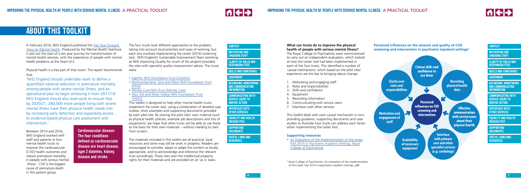



In February 2016, NHS England published the [Five Year Forward](https://www.england.nhs.uk/mentalhealth/wp-content/uploads/sites/29/2015/09/fyfv-mental-hlth-taskforce.pdf)  [View for Mental Health](https://www.england.nhs.uk/mentalhealth/wp-content/uploads/sites/29/2015/09/fyfv-mental-hlth-taskforce.pdf). Produced by the Mental Health Taskforce it sets out the start of a ten year journey for transformation of mental health services, with the experience of people with mental health problems at the heart of it.

Physical health is a key part of that vision. The report recommends that:

'NHS England should undertake work to define a quantified national reduction in premature mortality among people with severe mental illness, and an operational plan to begin achieving it from 2017/18. NHS England should also lead work to ensure that by 2020/21, 280,000 more people living with severe mental illness have their physical health needs met by increasing early detection and expanding access to evidence-based physical care assessment and intervention.'

Between 2014 and 2016, NHS England worked with staff and patients in four mental health trusts to improve the cardiovascular (CVD) health outcomes and reduce premature mortality in people with serious mental illness. CVD is the biggest cause of premature death in this patient group.

# **What can trusts do to improve the physical health of people with serious mental illness?**

The Royal College of Psychiatrists were commissioned to carry out an independent evaluation, which looked at how the Lester tool had been implemented in each of the four trusts. This identified a number of 'causal mechanisms' which based on the pilot sites' experience are the key to bringing about change:

- 1. Motivating and engaging staff
- 2. Roles and responsibilities
- 3. Skills and confidence
- 4. Equipment
- 5. Recording information
- 6. Communicating with service users
- 7. Interfaces with other services

This toolkit deals with each causal mechanism in turn, providing guidance, supporting documents and case studies to illustrate how trusts can address each factor when implementing the Lester tool.

# **Supporting resources**

<sup>3</sup> Royal College of Psychiatrists, An evaluation of the implementation of the Lester tool 2014 in psychiatric inpatient settings, p88

• [An Evaluation of the Implementation of the Lester](http://www.rcpsych.ac.uk/workinpsychiatry/qualityimprovement/research/lesterevaluation-1.aspx) [Tool 2014 in Psychiatric Inpatient Settings, Royal](http://www.rcpsych.ac.uk/workinpsychiatry/qualityimprovement/research/lesterevaluation-1.aspx) [College of Psychiatrists](http://www.rcpsych.ac.uk/workinpsychiatry/qualityimprovement/research/lesterevaluation-1.aspx)

**[COMMUNICATING WITH](#page-17-0) SERVICE USERS TO INSPIRE ACTION** 

# **ABOUT THIS TOOLKIT**

The four trusts took different approaches to the problem, taking into account local priorities and ways of working, but each one involved implementing the Lester (2014) screening tool. NHS England's Sustainable Improvement Team (working as NHS Improving Quality for much of the project) provided the sites with specialist quality improvement advice. The trusts were:

- [2gether NHS Foundation Trust \(2Gether\)](http://www.2gether.nhs.uk/)
- [Northumberland, Tyne and Wear NHS Foundation Trust](http://www.ntw.nhs.uk/) [\(NTW\)](http://www.ntw.nhs.uk/)
- [Mersey Care NHS Trust \(Mersey Care\)](http://www.merseycare.nhs.uk/)
- [Tees, Esk and Wear Valleys NHS Foundation Trust](http://www.tewv.nhs.uk/site/) (TEWV)

This toolkit is designed to help other mental health trusts implement the Lester tool, using a combination of detailed case studies, short examples and supporting documents provided by each pilot site. By sharing the pilot sites' own material (such as physical health policies, example job descriptions and lists of equipment), we hope that other trusts will be able to use these as the basis for their own materials – without needing to start from scratch.

The materials included in this toolkit are all practical, local resources and some may still be work in progress. Readers are encouraged to consider, adopt or adapt the content as locally appropriate, and to acknowledge and reference the relevant trust accordingly. These sites own the intellectual property rights for their materials and are provided on an 'as is' basis.

**Cardiovascular disease: The four conditions defined as cardiovascular disease are heart disease, type 2 diabetes, kidney disease and stroke.**



**[RECORDING, MONITORING](#page-13-0)  AND COMMUNICATING INFORMATION**



# **[CONTEXT](#page-5-0)**

**[MOTIVATING AND](#page-5-0) ENGAGING STAFF**

**[CLARITY OF ROLES AND](#page-6-0) RESPONSIBILITIES**

**[SKILLS AND CONFIDENCE](#page-8-0)**

### **[EQUIPMENT](#page-12-0)**

**[INTERFACES WITH](#page-19-0) OTHER SERVICES**

**[SUPPORTING](#page-21-0) DOCUMENTS**

**[USEFUL LINKS AND](#page-21-0) RESOURCES**

**[CONTEXT](#page-5-0)**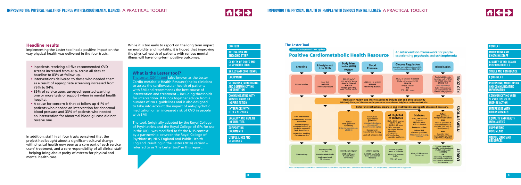



**9**

# **What is the Lester tool?**

[The Lester \(2014\) tool](http://www.rcpsych.ac.uk/workinpsychiatry/qualityimprovement/nationalclinicalaudits/schizophrenia/nationalschizophreniaaudit/nasresources.aspx) (also known as the Lester Cardio-metabolic Health Resource) helps clinicians to assess the cardiovascular health of patients with SMI and recommends the best course of intervention and treatment – including thresholds for intervention. It brings together advice from a number of NICE guidelines and is also designed to take into account the impact of anti-psychotic medication on an increased risk of CVD in people with SMI.

**[INTERFACES WITH](#page-19-0) OTHER SERVICES**

The tool, (originally adapted by the Royal College of Psychiatrists and the Royal College of GPs for use in the UK), was modified to fit the NHS context by a partnership between the Royal College of Psychiatrists, NHS England and Public Health England, resulting in the Lester (2014) version – referred to as 'the Lester tool' in this report.

**[RECORDING, MONITORING](#page-13-0)  AND COMMUNICATING INFORMATION**

# **[CONTEXT](#page-5-0)**

**[MOTIVATING AND](#page-5-0) ENGAGING STAFF**

**[CLARITY OF ROLES AND](#page-6-0) RESPONSIBILITIES**

**[SKILLS AND CONFIDENCE](#page-8-0)** 

**[EQUIPMENT](#page-12-0)**

**[COMMUNICATING WITH](#page-17-0) SERVICE USERS TO INSPIRE ACTION**

**[MOTIVATING AND](#page-5-0) ENGAGING STAFF** 

**[SUPPORTING](#page-21-0) DOCUMENTS**

**[USEFUL LINKS AND](#page-21-0) RESOURCES**

- Inpatients receiving all five recommended CVD screens increased from 46% across all sites at baseline to 83% at follow up.
- Interventions delivered to those who needed them as a result of appropriate screening increased from 79% to 94%.
- 89% of service users surveyed reported wanting one or more tests or support when in mental health hospital.
- A cause for concern is that at follow up 41% of patients who needed an intervention for abnormal blood pressure and 33% of patients who needed an intervention for abnormal blood glucose did not receive one.

In addition, staff in all four trusts perceived that the project had bought about a significant cultural change with physical health now seen as a core part of each service users' treatment, and a core responsibility of all clinical staff – helping bring about parity of esteem for physical and mental health care.

While it is too early to report on the long term impact on morbidity and mortality, it is hoped that improving the physical health of patients with serious mental illness will have long-term positive outcomes.

> **[RECORDING, MONITORING](#page-13-0)  AND COMMUNICATING INFORMATION**

**[CONTEXT](#page-5-0)**

**[CLARITY OF ROLES AND](#page-6-0) RESPONSIBILITIES**

**[SKILLS AND CONFIDENCE](#page-8-0)**

**[EQUIPMENT](#page-12-0)**

**[COMMUNICATING WITH](#page-17-0) SERVICE USERS TO INSPIRE ACTION [INTERFACES WITH](#page-19-0) OTHER SERVICES**

**[SUPPORTING](#page-21-0) DOCUMENTS**

**[USEFUL LINKS AND](#page-21-0) RESOURCES**

# **Headline results**

Implementing the Lester tool had a positive impact on the way physical health was delivered in the four trusts.



FPG = Fasting Plasma Glucose | RPG = Random Plasma Glucose | BMI = Body Mass Index | Total Chol = Total Cholesterol | HDL = High Density Lipoprotein | TRIG = Triglycerid

**[EQUALITY AND HEALTH](#page-20-0) INEQUALITIES**

**[EQUALITY AND HEALTH](#page-20-0)**

**INEQUALITIES**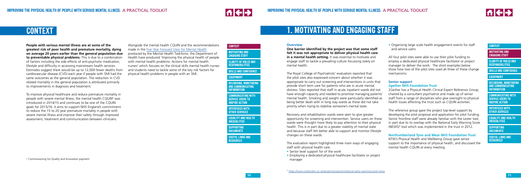



**[RECORDING, MONITORING](#page-13-0)  AND COMMUNICATING INFORMATION**

# **CONTEXT**

**MOTIVATING AND ENGAGING STAFF**

**[CLARITY OF ROLES AND](#page-6-0) RESPONSIBILITIES**

**[SKILLS AND CONFIDENCE](#page-8-0)**

**[EQUIPMENT](#page-12-0)**

**[COMMUNICATING WITH](#page-17-0) SERVICE USERS TO INSPIRE ACTION**

**[INTERFACES WITH](#page-19-0) OTHER SERVICES**

**People with serious mental illness are at some of the greatest risk of poor health and premature mortality, dying on average 20 years earlier than the general population due to preventable physical problems.** This is due to a combination of factors including the side effects of anti-psychotic medication, lifestyle and difficulty in accessing mainstream health services. Estimates suggest there would be up to 12,000 fewer deaths from cardiovascular disease (CVD) each year if people with SMI had the same outcomes as the general population. The reduction in CVD related mortality in the general population is attributed primarily to improvements in diagnosis and treatment.

Alongside t[he mental health CQUIN and the recommen](https://www.england.nhs.uk/mentalhealth/wp-content/uploads/sites/29/2015/09/fyfv-mental-hlth-taskforce.pdf)dations made in the Five Year Forward View for Mental Health produced by the Mental Health Taskforce, the Department of Health have produced 'Improving the physical health of people with mental health problems: Actions for mental health nurses' which focuses on the clinical skills mental health nurses and students need to tackle some of the key risk factors for physical health problems in people with an SMI.

**MOTIVATING AND ENGAGING STAFF** 

**[COMMUNICATING WITH](#page-17-0) SERVICE USERS TO INSPIRE ACTION** 

To improve physical healthcare and reduce premature mortality in people with severe mental illness, the mental health CQUIN<sup>4</sup> was introduced in 2014/15 and continues to be one of the COUIN goals for 2015/16. It aims to support NHS England's commitment to reduce the 15 to 20 year premature mortality in people with severe mental illness and improve their safety through improved assessment, treatment and communication between clinicians.

# <span id="page-5-0"></span>**CONTEXT**

<sup>4</sup> Commissioning for Quality and Innovation payment

**[RECORDING, MONITORING](#page-13-0)  AND COMMUNICATING INFORMATION**

#### **CONTEXT**

**[CLARITY OF ROLES AND](#page-6-0) RESPONSIBILITIES**

**[SKILLS AND CONFIDENCE](#page-8-0)**

## **[EQUIPMENT](#page-12-0)**

**[INTERFACES WITH](#page-19-0) OTHER SERVICES**

#### **Overview**

The reference group gave the project top-level support by developing the pilot proposal and application for pilot funding. Senior frontline staff were already familiar with the Lester tool, in part due to its overlap with the National Early Warning Score (NEWS)<sup>5</sup> tool which was implemented in the trust in 2012.

**One barrier identified by the project was that some staff felt it was not appropriate to deliver physical health care in a mental health setting.** It was essential to motivate and engage staff to tackle a prevailing culture focussing solely on mental health.

The Royal College of Psychiatrists' evaluation reported that the pilot sites also expressed concern about whether it was appropriate to carry out screening and interventions in units that provide short term care for patients who are in acute mental distress. Sites reported that staff in acute inpatient wards did not have enough capacity and needed to prioritise managing patients' mental health. Smoking and weight were particularly identified as being better dealt with in long stay wards as these did not take priority when trying to stabilise someone's mental state.

Recovery and rehabilitation wards were seen to give greater opportunity for screening and intervention. Service users on these wards were thought more likely to pay attention to their physical health. This is in part due to a greater stability of mental state and because staff felt better able to support and monitor lifestyle changes on these wards.

The evaluation report highlighted three main ways of engaging staff with physical health care:

- Senior level support for of the work
- Employing a dedicated physical healthcare facilitator or project manager

# **1. MOTIVATING AND ENGAGING STAFF**

• Organising large scale health engagement events for staff and service users

All four pilot sites were able to use their pilot funding to employ a dedicated physical healthcare facilitator or project manager to deliver the work. The short examples below show how two of the pilot sites used all three of these change mechanisms:

#### **Senior support 2gether NHS Foundation Trust**

2Gether has a Physical Health Clinical Expert Reference Group, chaired by a consultant psychiatrist and made up of senior staff from a range of disciplines who give oversight to physical health issues affecting the trust such as CQUIN activities.

#### **Northumberland Tyne and Wear NHS Foundation Trust**

NTW's Physical Health and Wellbeing Group gave senior support to the importance of physical health, and discussed the mental health CQUIN at every meeting.

**[SUPPORTING](#page-21-0) DOCUMENTS**

**[USEFUL LINKS AND](#page-21-0) RESOURCES**

**[EQUALITY AND HEALTH](#page-20-0) INEQUALITIES**

> **[SUPPORTING](#page-21-0) DOCUMENTS**

**[USEFUL LINKS AND](#page-21-0) RESOURCES**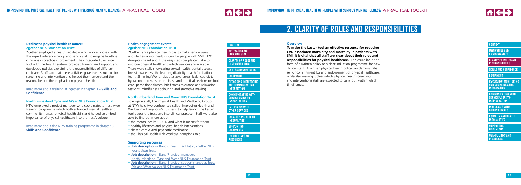



**[COMMUNICATING WITH](#page-17-0) SERVICE USERS TO INSPIRE ACTION** 

**[RECORDING, MONITORING](#page-13-0)  AND COMMUNICATING INFORMATION**

### **[CONTEXT](#page-5-0)**

**[MOTIVATING AND](#page-5-0) ENGAGING STAFF**

**CLARITY OF ROLES AND RESPONSIBILITIES**

**[SKILLS AND CONFIDENCE](#page-8-0)**

# **[EQUIPMENT](#page-12-0)**

**[INTERFACES WITH](#page-19-0) OTHER SERVICES**

# <span id="page-6-0"></span>**Dedicated physical health resource: 2gether NHS Foundation Trust**

2gether employed a health facilitator who worked closely with the expert reference group and senior staff to engage frontline clinicians in practice improvement. They integrated the Lester tool with the trust IT system, provided training and support and developed policies explaining the responsibilities of different clinicians. Staff said that these activities gave them structure for screening and intervention and helped them understand the reasons behind the emphasis on physical health.

### [Read more about training at 2gether in chapter 3 –](#page-8-0) **Skills and Confidence** .

# **Northumberland Tyne and Wear NHS Foundation Trust**

- the mental health CQUIN and what it means for them
- healthy lifestyles and physical health interventions
- shared care & anti-psychotic medication
- the Physical Health Link Worker/Champions role

NTW employed a project manager who coordinated a trust-wide training programme which both enhanced mental health and community nurses' physical health skills and helped to embed importance of physical healthcare into the trust's culture.

[Read more about the NTW training programme in chapter 3 –](#page-8-0)  **Skills and Confidence** .

- **Job description** Band 6 health facilitator, 2 gether NHS [Foundation Trust](http://www.nhsiq.nhs.uk/media/2758046/1._physical_health_facilitator_jd___ps_amended.pdf)
- **Job description** [Band 7 project manager,](http://www.nhsiq.nhs.uk/media/2758051/2._ntw_jd_-_band_7_project_manager.pdf)  [Northumberland, Tyne and Wear NHS Foundation Trust](http://www.nhsiq.nhs.uk/media/2758051/2._ntw_jd_-_band_7_project_manager.pdf)
- **Job description** [Band 5 project support manager, Tees,](http://www.nhsiq.nhs.uk/media/2758056/3._job_description_-_band_5_project_support_manager__nhsiq_.pdf)  [Esk and Wear Valleys NHS Foundation Trust](http://www.nhsiq.nhs.uk/media/2758056/3._job_description_-_band_5_project_support_manager__nhsiq_.pdf)

# **Health engagement events: 2gether NHS Foundation Trust**

2Gether ran a physical health day to make service users and staff aware of health issues for people with SMI. 120 delegates heard about the easy steps people can take to improve physical health and which services are available. There were stalls showcasing sexual health, dental access, breast awareness, the learning disability health facilitation team, Slimming World, diabetes awareness, balanced diet, hydration, and substance misuse and practical sessions on foot care, pelvic floor classes, brief stress tolerance and relaxation sessions, mindfulness colouring and smoothie making.

# **Northumberland Tyne and Wear NHS Foundation Trust**

To engage staff, the Physical Health and Wellbeing Group at NTW held two conferences called 'Improving Health and Wellbeing – Everybody's Business' to help launch the Lester tool across the trust and into clinical practice. Staff were also able to find out more about:

# **Supporting resources**

**[RECORDING, MONITORING](#page-13-0)  AND COMMUNICATING INFORMATION**

### **[CONTEXT](#page-5-0)**

**[MOTIVATING AND](#page-5-0) ENGAGING STAFF**

**CLARITY OF ROLES AND RESPONSIBILITIES**

**[SKILLS AND CONFIDENCE](#page-8-0)**

# **[EQUIPMENT](#page-12-0)**

**[COMMUNICATING WITH](#page-17-0) SERVICE USERS TO INSPIRE ACTION**

**[INTERFACES WITH](#page-19-0) OTHER SERVICES**

#### **Overview**

**To make the Lester tool an effective resource for reducing CVD associated morbidity and mortality in patients with SMI, it is vital that all staff are clear about their roles and responsibilities for physical healthcare.** This could be in the form of a written policy or a clear induction programme for new clinical staff. A written physical health policy can demonstrate senior commitment for and endorsement of physical healthcare, while also making it clear which physical health screenings and interventions staff are expected to carry out, within which timeframes.

# **2. CLARITY OF ROLES AND RESPONSIBILITIES**

**[SUPPORTING](#page-21-0) DOCUMENTS**

**[USEFUL LINKS AND](#page-21-0) RESOURCES**

**[EQUALITY AND HEALTH](#page-20-0) INEQUALITIES**

> **[SUPPORTING](#page-21-0) DOCUMENTS**

**[USEFUL LINKS AND](#page-21-0) RESOURCES**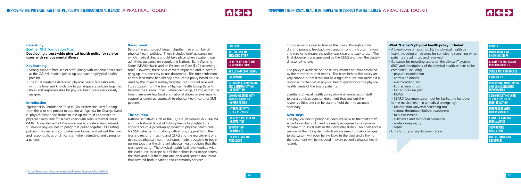



**[RECORDING, MONITORING](#page-13-0)  AND COMMUNICATING INFORMATION**

# **[CONTEXT](#page-5-0)**

**[MOTIVATING AND](#page-5-0) ENGAGING STAFF**

**[CLARITY OF ROLES AND](#page-6-0) RESPONSIBILITIES**

**[SKILLS AND CONFIDENCE](#page-8-0)**

### **[EQUIPMENT](#page-12-0)**

**[COMMUNICATING WITH](#page-17-0) SERVICE USERS TO INSPIRE ACTION**

**[INTERFACES WITH](#page-19-0) OTHER SERVICES**

#### **Case study 2gether NHS Foundation Trust**

- Strong support from senior staff, along with national drives such as the CQUIN, made a joined up approach to physical health possible.
- The trust created a dedicated physical health facilitator role, with the time and knowledge to pull disparate policies together.
- Roles and responsibilities for physical health care were clearly assigned.

# **Developing a trust-wide physical health policy for service users with serious mental illness**

# **Key learning**

# **Introduction**

2gether NHS Foundation Trust in Gloucestershire used funding from the pilot site project to appoint an Agenda for Change band 6 'physical health facilitator' to join up the trust's approach to physical health care for service users with serious mental illness (SMI). A key element of this work was to create a standardised, trust-wide physical health policy that pulled together all existing policies in a clear and comprehensive format and set out the roles and responsibilities of clinical staff when admitting and caring for a patient.

### **Background**

**[COMMUNICATING WITH](#page-17-0) SERVICE USERS TO INSPIRE ACTION** 

Before the pilot project began, 2gether had a number of physical health policies. These included brief guidance on which medical checks should take place when a patient was admitted, guidance on completing National Early Warning Score (NEWS) charts and an Essence of Care (EoC) screening tool<sup>6</sup>. However, these policies were disjointed and in need of tying up into one easy to use document. The trust's infection control lead nurse had already produced a policy based on one used by the Royal Maudsley hospital, but this had received little support from the trust's Physical Health Group (later to become the Clinical Expert Reference Group, CERG) and at the time there were few local and national drivers in existence to support a joined-up approach to physical health care for SMI patients.

# **The solution**

National initiatives such as the CQUIN (introduced in 2014/15) and the National Audit of Schizophrenia highlighted the importance of a joined-up approach to physical health care for SMI patients. This, along with strong support from the trust's director of nursing and CERG and the recruitment of a dedicated physical health facilitator, made it possible to begin pulling together the different physical health policies that the trust were using. The physical health facilitator worked with the lead nurse to scope out all the policies in existence across the trust and pull them into one clear and concise document that covered both inpatient and community services.

**[RECORDING, MONITORING](#page-13-0)  AND COMMUNICATING INFORMATION**

#### **[CONTEXT](#page-5-0)**

**[MOTIVATING AND](#page-5-0) ENGAGING STAFF**

**[CLARITY OF ROLES AND](#page-6-0) RESPONSIBILITIES**

**[SKILLS AND CONFIDENCE](#page-8-0)**

#### **[EQUIPMENT](#page-12-0)**

**[INTERFACES WITH](#page-19-0) OTHER SERVICES**

It took around a year to finalise the policy. Throughout the drafting process, feedback was sought from the trust's matrons and medics to ensure the policy was clear and easy to use. The final document was approved by the CERG and then the deputy director of nursing.

The policy is available on the trust's intranet and was cascaded by the matrons to their teams. The team behind the policy are very conscious that it will not be a rigid resource and update it in response to changes in physical health guidance or the physical health needs of the trust's patients.

2Gether's physical health policy allows all members of staff to access a clear, concise, document that sets out their responsibilities and can be used to hold them to account if necessary.

#### **Next steps**

The physical health policy has been available to the trust's staff since November 2015 and is already recognised as a valuable document to assist staff in their everyday duties. An open access version of the RiO system which allows users to make changes to the system will soon be available to the trust and a link to the document will be included in every patient's physical health record.

# **What 2Gether's physical health policy included:**

- A breakdown of responsibility for physical health by team, including timeframes for completing screening when patients are admitted and reviewed.
- Guidance for recording scores on the clinical IT system (RiO) and descriptions of the physical health screens to be completed, including:
- physical examination
- admission bloods
- electrocardiogram
- EoC screening tool
- Lester tool care plan
- NEWS
- SBARD (communication tool for facilitating handover
- to the medical team in a medical emergency)
- Malnutrition Universal Screening tool
- venous thromboembolism assessment
- falls assessment
- substance and alcohol dependence
- acute kidney injury
- sepsis
- Links to supporting documentation.

**[SUPPORTING](#page-21-0) DOCUMENTS**

**[USEFUL LINKS AND](#page-21-0) RESOURCES**

**[EQUALITY AND HEALTH](#page-20-0) INEQUALITIES**

> **[SUPPORTING](#page-21-0) DOCUMENTS**

**[USEFUL LINKS AND](#page-21-0) RESOURCES**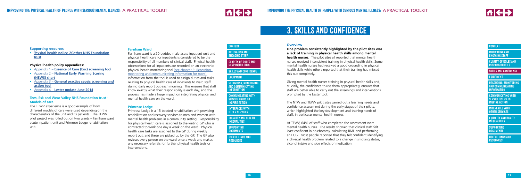



**[RECORDING, MONITORING](#page-13-0)  AND COMMUNICATING INFORMATION**

# **[CONTEXT](#page-5-0)**

**[CLARITY OF ROLES AND](#page-6-0) RESPONSIBILITIES**

**SKILLS AND CONFIDENCE**

**[EQUIPMENT](#page-12-0)**

**[COMMUNICATING WITH](#page-17-0) SERVICE USERS TO INSPIRE ACTION**

**[INTERFACES WITH](#page-19-0) OTHER SERVICES**

#### <span id="page-8-0"></span>**Supporting resources**

• **[Physical health policy, 2Gether NHS Foundation](http://www.nhsiq.nhs.uk/media/2758061/4._2gether_physical_health_policy.pdf) [Trust](http://www.nhsiq.nhs.uk/media/2758061/4._2gether_physical_health_policy.pdf)**

## **Physical health policy appendices:**

- Appendix 1 **[Essence of Care \(Eoc\) screening tool](http://www.nhsiq.nhs.uk/media/2758066/5._appendix_1_-_essence_of_care__eoc__screening_tool.pdf)**
- Appendix 2 **[National Early Warning Scoring](http://www.nhsiq.nhs.uk/media/2758071/6._appendix_2_-_national_early_warning_scoring__news__chart.pdf)  [\(NEWS\) chart](http://www.nhsiq.nhs.uk/media/2758071/6._appendix_2_-_national_early_warning_scoring__news__chart.pdf)**
- Appendix 3 **[General practice sepsis screening and](http://www.nhsiq.nhs.uk/media/2758076/7._appendix_3_-_general_practice_sepsis_screening_and_action_tool.pdf)  [action tool](http://www.nhsiq.nhs.uk/media/2758076/7._appendix_3_-_general_practice_sepsis_screening_and_action_tool.pdf)**
- Appendix 4 **[Lester update June 2014](http://www.nhsiq.nhs.uk/media/2758081/8._appendix_4_-_lester_update_june_2014_final.pdf)**

### **Tees, Esk and Wear Valley NHS Foundation trust - Models of care**

The TEWV experience is a good example of how different models of care were used depending on the characteristics of the unit and its patients. The TEWV pilot project was rolled out on two wards – Farnham ward acute inpatient unit and Primrose Lodge rehabilitation unit.

#### **Farnham Ward**

**[MOTIVATING AND](#page-5-0) ENGAGING STAFF** 

**[COMMUNICATING WITH](#page-17-0) SERVICE USERS TO INSPIRE ACTION** 

Farnham ward is a 20-bedded male acute inpatient unit and physical health care for inpatients is considered to be the responsibility of all members of clinical staff. Physical health observations for all inpatients are recorded on an electronic [physical health monitoring tool \(see chapter 5: Recording,](#page-13-0)  monitoring and communicating information for more). Information from the tool is used to assign duties and tasks relating to physical health care of inpatients to ward staff during daily report out each morning. This ensures that staff know exactly what their responsibility is each day, and the process has made a huge impact on integrating physical and mental health care on the ward.

#### **Primrose Lodge**

Primrose Lodge is a 15-bedded rehabilitation unit providing rehabilitation and recovery services to men and women with mental health problems in a community setting. Responsibility for physical health care is assigned to the visiting GP who is contracted to work one day a week on the ward. Physical health care tasks are assigned to the GP during weekly report out, and these are picked up by the GP. The GP also reviews every person on the ward once a week and makes any necessary referrals for further physical health tests or interventions.

**[RECORDING, MONITORING](#page-13-0)  AND COMMUNICATING INFORMATION**



**[CLARITY OF ROLES AND](#page-6-0) RESPONSIBILITIES**

**SKILLS AND CONFIDENCE**

#### **[EQUIPMENT](#page-12-0)**

**[INTERFACES WITH](#page-19-0) OTHER SERVICES**

#### **Overview**

**One problem consistently highlighted by the pilot sites was a lack of training in physical health skills among mental health nurses.** The pilot sites all reported that mental health nurses received inconsistent training in physical health skills. Some mental health nurses had received a good grounding in physical health skills while others reported that their training had missed this out completely.

Giving mental health nurses training in physical health skills and, crucially, the confidence to use them appropriately, ensures that staff are better able to carry out the screenings and interventions prompted by the Lester tool.

The NTW and TEWV pilot sites carried out a learning needs and confidence assessment during the early stages of their pilots, which highlighted the key development and training needs of staff, in particular mental health nurses.

At TEWV, 64% of staff who completed the assessment were mental health nurses. The results showed that clinical staff felt least confident in phlebotomy, calculating BMI, and performing an ECG. Most people reported that they felt confident identifying a physical health problem related to a change in smoking status, alcohol intake and side effects of medication.

# **3. SKILLS AND CONFIDENCE**

**[SUPPORTING](#page-21-0) DOCUMENTS**

**[USEFUL LINKS AND](#page-21-0) RESOURCES**

**[EQUALITY AND HEALTH](#page-20-0) INEQUALITIES**

> **[SUPPORTING](#page-21-0) DOCUMENTS**

**[USEFUL LINKS AND](#page-21-0) RESOURCES**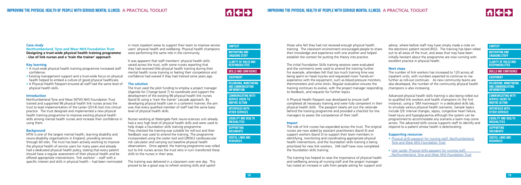



**[CLARITY OF ROLES AND](#page-6-0) RESPONSIBILITIES**

**[RECORDING, MONITORING](#page-13-0)  AND COMMUNICATING INFORMATION**

### **[CONTEXT](#page-5-0)**

**[SKILLS AND CONFIDENCE](#page-8-0)**

### **[EQUIPMENT](#page-12-0)**

**[COMMUNICATING WITH](#page-17-0) SERVICE USERS TO INSPIRE ACTION**

**[INTERFACES WITH](#page-19-0) OTHER SERVICES**

#### **Case study**

**Northumberland, Tyne and Wear NHS Foundation Trust Designing a trust-wide physical health training programme - Use of link nurses and a 'train the trainer' approach**

#### **Key learning**

- A trust-wide physical health training programme increased staff confidence.
- Existing management support and a trust-wide focus on physical health helped to embed a culture of good physical healthcare.
- A Physical Health Passport ensured all staff had the same level of physical health skills.

#### **Introduction**

Northumberland Tyne and Wear (NTW) NHS Foundation Trust trained and supported 96 physical health link nurses across the trust to lead implementation of the Lester (2014) tool into clinical practice. The trust designed and implemented a new physical health training programme to improve existing physical health skills among mental health nurses and increase their confidence in using them.

#### **Background**

NTW is one of the largest mental health, learning disability and neuro-disability organisations in England, providing services through 60 sites. The trust has been actively working to improve the physical health of service users for many years and already had a dedicated physical health policy, stating that every patient should have a regular assessment of their physical health and be offered appropriate interventions. 'link workers' – staff with a specific interest and skills in physical health – had been nominated in most inpatient areas to support their team to improve service users' physical health and wellbeing. Physical health champions were performing the same role in the community.

It was apparent that staff members' physical health skills varied across the trust, with some nurses reporting that they had received little physical health training during their mental health nurse training or feeling their competence and confidence had waned if they had trained some years ago.

#### **The solution**

The trust used the pilot funding to employ a project manager (Agenda for Change band 7) to coordinate and support the development of the existing 96 physical health link nurses (band 6) using a 'train the trainer' cascade approach. By developing physical health care in a coherent manner, the aim was that every qualified member of staff had the same basic level of physical health skills.

Nurses working at Watergate Park neuro-sciences unit already had a very high level of physical health skills and were used to help shape a foundation skills training programme. They checked the training was suitable for roll-out and their feedback was used to amend the training. The programme incorporated using the Lester tool and QRISK2 cardiovascular risk calculator and carrying out baseline physical health observations. Once agreed, the training programme was rolled out to link nurses across the trust who in turn transferred these skills to the nurses in their area.

The training was delivered in a classroom over one day. This proved to be a good way to refresh existing skills and upskill **[RECORDING, MONITORING](#page-13-0)  AND COMMUNICATING INFORMATION**

#### **[CONTEXT](#page-5-0)**

**[MOTIVATING AND](#page-5-0) ENGAGING STAFF**

**[CLARITY OF ROLES AND](#page-6-0) RESPONSIBILITIES**

#### **[SKILLS AND CONFIDENCE](#page-8-0)**

# **[EQUIPMENT](#page-12-0)**

**[COMMUNICATING WITH](#page-17-0) SERVICE USERS TO INSPIRE ACTION**

**[INTERFACES WITH](#page-19-0) OTHER SERVICES**

those who felt they had not received enough physical health training. The classroom environment encouraged people to share their knowledge and experience with one another and helped establish the context for putting the theory into practice.

The initial Foundation Skills training sessions were evaluated and the comments were used to amend the training further. For example, attendees felt that too much training time was being spent on head injuries and requested more 'hands-on' experience with the equipment, such as blood pressure monitors, thermometers and urine sticks. Regular evaluation ensures the training continues to evolve, with the project manager responding to feedback, and requests for further topics.

A Physical Health Passport was developed to ensure staff completed all necessary training and were fully competent in their physical health skills. The passport clearly set out the rationale behind the training programme and provided a checklist for line managers to assess the competence of their staff.

#### **Impact**

The role of link nurses has expanded across the trust. The original nurses are now aided by assistant practitioners (band 4) and support workers (band 3) to support their team members in identifying, monitoring and coordinating appropriate physical health interventions, and the foundation skills training is being prioritised for new link workers. 344 staff have now completed the foundation skills training.

The training has helped to raise the importance of physical health and wellbeing among all nursing staff and the project manager has noted an increase in calls from people asking for support and

advice, where before staff may have simply made a note on the electronic patient record (RiO). The training has been rolled out to all areas of the trust, and areas that may have been initially hesitant about the programme are now running with excellent practice in physical health.

#### **Next steps**

The number of link workers has increased to 120 across all inpatient units, with numbers expected to continue to rise further as roll-out continues. As new community teams are also developed, the number of the community physical health champions is also increasing.

Advanced physical health skills training is also being rolled out to qualified link workers and health champions (in the first instance), using a 'SIM mannequin' in a dedicated skills lab, to simulate various physical health scenarios. Sample topics include QTc interval changes, sepsis, congestive heart failure, head injury and hypoglycaemia although the system can be programmed to accommodate any scenario a team may come across. The advanced skills course supports staff to identify and respond to a patient whose health is deteriorating.

#### **Supporting resources**

- [Physical skills passport for nursing staff, Northumberland,](http://www.nhsiq.nhs.uk/media/2758086/9._physical_health_passport_march_2016_updated_logo_and_copyright.pdf) [Tyne and Wear NHS Foundation Trust](http://www.nhsiq.nhs.uk/media/2758086/9._physical_health_passport_march_2016_updated_logo_and_copyright.pdf)
- [User guide: Physical skills passport for nursing staff,](http://www.nhsiq.nhs.uk/media/2758091/10._user_guide_physical_health_skills_passport_final_february_2016.pdf) [Northumberland, Tyne and](http://www.nhsiq.nhs.uk/media/2758091/10._user_guide_physical_health_skills_passport_final_february_2016.pdf) *Wear NHS F*oundation Trust

**[SUPPORTING](#page-21-0) DOCUMENTS**

**[USEFUL LINKS AND](#page-21-0) RESOURCES**

**[EQUALITY AND HEALTH](#page-20-0) INEQUALITIES**

> **[SUPPORTING](#page-21-0) DOCUMENTS**

**[USEFUL LINKS AND](#page-21-0) RESOURCES**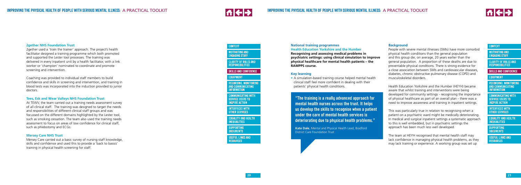



**[CLARITY OF ROLES AND](#page-6-0) RESPONSIBILITIES**

**[RECORDING, MONITORING](#page-13-0)  AND COMMUNICATING INFORMATION**

# **[CONTEXT](#page-5-0)**

**[SKILLS AND CONFIDENCE](#page-8-0)**

**[EQUIPMENT](#page-12-0)**

**[COMMUNICATING WITH](#page-17-0) SERVICE USERS TO INSPIRE ACTION**

**[INTERFACES WITH](#page-19-0) OTHER SERVICES**

#### **2gether NHS Foundation Trust**

2gether used a 'train the trainer' approach. The project 's health facilitator designed a training programme which both promoted and supported the Lester tool processes. The training was delivered in every inpatient unit by a health facilitato r, with a link worker or 'champion' nominated to coordinate and promote screening and intervention.

Coaching was provided to individual staff members to build con fidence and skills in screening and intervention, and training in blood tests was incorporated into the induction provided to junior doctors.

#### **Tees, Esk and Wear Valleys NHS Foundation Trust**

**[CLARITY OF ROLES AND](#page-6-0) RESPONSIBILITIES**

At TEWV, the team carried out a training needs assessment survey of all clinical staff. The training was designed to target the needs and responsibilities of different clinical staff groups and was focussed on the different domains highlighted by the Lester tool, such as smoking cessation. The team also used the training needs assessment to focus on areas of low confidence for clinical staff, such as phlebotomy and ECGs.

# **Mersey Care NHS Trust**

Mersey Care carried out a basic survey of nursing staff knowledge, skills and confidence and used this to provide a 'back to basics' training in physical health screening for staff.

# **National training programmes Health Education Yorkshire and the Humber**

**Recognising and assessing medical problems in psychiatric settings: using clinical simulation to improve physical healthcare for mental health patients – the RAMPPS course.**

# **Key learning**

• A simulation-based training course helped mental health clinical staff feel more confident in dealing with their patients' physical health conditions.

**[RECORDING, MONITORING](#page-13-0)  AND COMMUNICATING INFORMATION**

#### **[CONTEXT](#page-5-0)**

**[MOTIVATING AND](#page-5-0) ENGAGING STAFF**

**[SKILLS AND CONFIDENCE](#page-8-0)**

### **[EQUIPMENT](#page-12-0)**

**[COMMUNICATING WITH](#page-17-0) SERVICE USERS TO INSPIRE ACTION**

**[INTERFACES WITH](#page-19-0) OTHER SERVICES**

### **Background**

People with severe mental illnesses (SMIs) have more comorbid physical health conditions than the general population and this group die, on average, 20 years earlier than the general population. A proportion of these deaths are due to preventable physical conditions. There is strong evidence for a close association between SMIs and cardiovascular diseases, diabetes, chronic obstructive pulmonary disease (COPD) and musculoskeletal disorders.

Health Education Yorkshire and the Humber (HEYH) became aware that whilst training and interventions were being developed for community settings - recognising the importance of physical healthcare as part of an overall plan - there was a need to improve awareness and training in inpatient settings.

This was particularly true in relation to recognising when a patient on a psychiatric ward might be medically deteriorating. In medical and surgical inpatient settings a systematic approach to this is well embedded, but in psychiatric settings the approach has been much less well developed.

The team at HEYH recognised that mental health staff may lack confidence in managing physical health problems, as they may lack training or experience. A working group was set up

**"The training is a really advanced approach for mental health nurses across the trust. It helps us develop the skills to recognise when a patient under the care of mental health services is deteriorating due to physical health problems."**

**Kate Dale**, Mental and Physical Health Lead, Bradford District Care Foundation Trust

**[SUPPORTING](#page-21-0) DOCUMENTS**

**[USEFUL LINKS AND](#page-21-0) RESOURCES**

**[EQUALITY AND HEALTH](#page-20-0) INEQUALITIES**

> **[SUPPORTING](#page-21-0) DOCUMENTS**

**[USEFUL LINKS AND](#page-21-0) RESOURCES**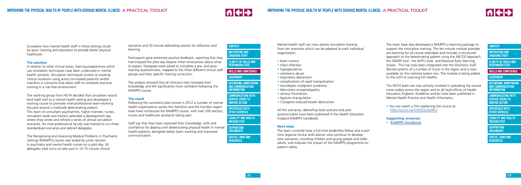



scenarios and 30 minute debriefing session for reflection and learning.

Participants gave extremely positive feedback, reporting that they had enjoyed the pilot day despite initial nervousness about what to expect. Delegates were asked to complete a pre- and posttraining questionnaire, mapped to the three different clinical staff groups and their specific training curriculum.

The analysis showed that all clinicians had increased their knowledge and felt significantly more confident following the RAMPPS course.

# **The result**

Following the successful pilot course in 2012 a number of mental health organisations across the Yorkshire and the Humber region have have introduced the RAMPPS course, with over 200 doctors, nurses and healthcare assistants taking part.

**[COMMUNICATING WITH](#page-17-0) SERVICE USERS TO INSPIRE ACTION** 

Staff say that they have improved their knowledge, skills and confidence for dealing with deteriorating physical health in mental health patients, alongside better team working and improved communication.

Mental health staff can now receive simulation training from ten scenarios which can be adapted to each individual organisation:

> • You can watch a film explaining the course at: <https://youtu.be/OWQDyzep9RU>

- brain tumour
- chest infection
- hypoglycaemia
- substance abuse
- respiratory depression
- complications of rapid tranquilisation
- neuroleptic malignant syndrome
- Wernicke's encephalopathy
- venous thrombosis
- ligature strangulation
- Clozapine-induced bowel obstruction

All the scenarios, debriefing tools and pre and post questionnaires have been published in the Health Education England RAMPPS handbook.

# **Next steps**

The team currently have a full-time leadership fellow and a part time regional clinical skills advisor who continue to develop new scenarios, including children and young people and older adults, and evaluate the impact of the RAMPPS programme on patient safety.

**[RECORDING, MONITORING](#page-13-0)  AND COMMUNICATING INFORMATION**

#### **[CONTEXT](#page-5-0)**

**[MOTIVATING AND](#page-5-0) ENGAGING STAFF**

**[CLARITY OF ROLES AND](#page-6-0) RESPONSIBILITIES**

**[SKILLS AND CONFIDENCE](#page-8-0)**

# **[EQUIPMENT](#page-12-0)**

| <b>CONTEXT</b>                                                                 |
|--------------------------------------------------------------------------------|
| <b>MOTIVATING AND</b><br><b>ENGAGING STAFF</b>                                 |
| <b>CLARITY OF ROLES AND</b><br><b>RESPONSIBILITIES</b>                         |
| <b>SKILLS AND CONFIDENCE</b>                                                   |
| <b>EOUIPMENT</b>                                                               |
| <b>RECORDING, MONITORING</b><br><b>AND COMMUNICATING</b><br><b>INFORMATION</b> |
| <b>COMMUNICATING WITH</b><br><b>SERVICE USERS TO</b><br><b>INSPIRE ACTION</b>  |
| <b>INTERFACES WITH</b><br><b>OTHER SERVICES</b>                                |
| <b>EQUALITY AND HEALTH</b><br><b>INEQUALITIES</b>                              |
| <b>SUPPORTING</b><br><b>DOCUMENTS</b>                                          |
| <b>USEFUL LINKS AND</b><br><b>RESOURCES</b>                                    |
|                                                                                |

**[INTERFACES WITH](#page-19-0) OTHER SERVICES**

The team have also developed a RAMPPS e-learning package to support the simulation training. The ten minute module provides pre-learning for all course attendees and includes a structured approach to the deteriorating patient using the ABCDE approach, the SBARD tool , the AVPU scale and National Early Warning Scores . This has now been integrated into the Electronic Staff Record systems of a number of trusts in the region and is now available on the national system too. The module is being added to the eLFH (e Learning For Health).

The HEYH team are now actively involved in spreading the course more widely across the region and to all local offices of Health Education England. Academic articles have been published in Mental Health Practice and Health Informatics.

#### **Supporting resources**

• [RAMPPS Handbook](http://www.nhsiq.nhs.uk/media/2758101/12._rampps_handbook_low_res_version_final.pdf)

to explore how mental health staff in these settings could be given training and education to provide better physical healthcare.

#### **The solution**

In relation to other clinical areas, training programmes which use simulation techniques have been underused in mental health contexts. Simulation techniques involve re-creating clinical situations using actors (simulated patients) and/or manikins in scenarios that allow staff to complete practical training in a risk-free environment.

The working group from HEYH decided that simulation would lend itself well to a mental health setting and developed a training course to promote inter-professional team-working focused around a medically deteriorating patient. This team of consultant psychiatrists, higher trainees, nurses, simulation leads and trainers attended a development day where they wrote and refined a series of clinical simulation scenarios. An inter-professional faculty was trained to run these standardised scenarios and debrief delegates.

The Recognising and Assessing Medical Problems in Psychiatric Settings (RAMPPS) course was tested by junior doctors in psychiatry and mental health nurses on a pilot day. 30 delegates took turns to take part in 10-15 minute clinical

**[SUPPORTING](#page-21-0) DOCUMENTS**

**[USEFUL LINKS AND](#page-21-0) RESOURCES**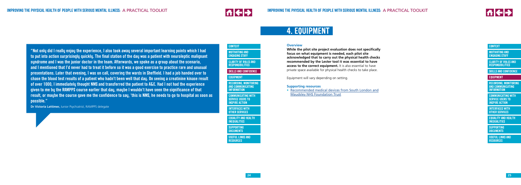イキナ



**[RECORDING, MONITORING](#page-13-0)  AND COMMUNICATING INFORMATION**

# **[CONTEXT](#page-5-0)**

**[MOTIVATING AND](#page-5-0) ENGAGING STAFF**

**[CLARITY OF ROLES AND](#page-6-0) RESPONSIBILITIES**

**[SKILLS AND CONFIDENCE](#page-8-0)**

**EQUIPMENT**

**[COMMUNICATING WITH](#page-17-0) SERVICE USERS TO INSPIRE ACTION**

**[INTERFACES WITH](#page-19-0) OTHER SERVICES**

**[MOTIVATING AND](#page-5-0) ENGAGING STAFF** 

**[COMMUNICATING WITH](#page-17-0) SERVICE USERS TO INSPIRE ACTION** 

<span id="page-12-0"></span>**"Not only did I really enjoy the experience, I also took away several important learning points which I had to put into action surprisingly quickly. The final station of the day was a patient with neuroleptic malignant syndrome and I was the junior doctor in the team. Afterwards, we spoke as a group about the scenario, and I mentioned that I'd never had to treat it before so it was a good exercise to practice rare and unusual presentations. Later that evening, I was on call, covering the wards in Sheffield. I had a job handed over to chase the blood test results of a patient who hadn't been well that day. On seeing a creatinine kinase result of over 1000, I immediately thought NMS and transferred the patient to A&E. Had I not had the experience given to me by the RAMPPS course earlier that day, maybe I wouldn't have seen the significance of that result, or maybe the course gave me the confidence to say, 'this is NMS, he needs to go to hospital as soon as possible."**

**Dr Victoria Lattimer,** Junior Psychiatrist, RAMPPS delegate

**[RECORDING, MONITORING](#page-13-0)  AND COMMUNICATING INFORMATION**

#### **[CONTEXT](#page-5-0)**

**[CLARITY OF ROLES AND](#page-6-0) RESPONSIBILITIES**

**[SKILLS AND CONFIDENCE](#page-8-0)**

#### **EQUIPMENT**

**[INTERFACES WITH](#page-19-0) OTHER SERVICES**

#### **Overview**

**While the pilot site project evaluation does not specifically focus on what equipment is needed, each pilot site acknowledged that to carry out the physical health checks recommended by the Lester tool it was essential to have access to the correct equipment.** It is also essential to have private space available for physical health checks to take place.

Equipment will vary depending on setting.

#### **Supporting resources**

• [Recommended medical devices from South London and](http://www.nhsiq.nhs.uk/media/2758106/13._slam_-_recommended_medical_devices_for_physical_healthcare.pdf) [Maudsley NHS Foundation Trust](http://www.nhsiq.nhs.uk/media/2758106/13._slam_-_recommended_medical_devices_for_physical_healthcare.pdf)

# **4. EQUIPMENT**

**[SUPPORTING](#page-21-0) DOCUMENTS**

**[USEFUL LINKS AND](#page-21-0) RESOURCES**

**[EQUALITY AND HEALTH](#page-20-0) INEQUALITIES**

> **[SUPPORTING](#page-21-0) DOCUMENTS**

**[USEFUL LINKS AND](#page-21-0) RESOURCES**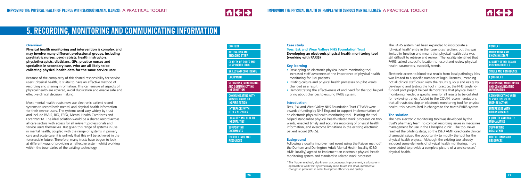



**[CLARITY OF ROLES AND](#page-6-0) RESPONSIBILITIES**

**RECORDING, MONITORING AND COMMUNICATING INFORMATION**

# **[CONTEXT](#page-5-0)**

**[SKILLS AND CONFIDENCE](#page-8-0)**

**[EQUIPMENT](#page-12-0)**

**[COMMUNICATING WITH](#page-17-0) SERVICE USERS TO INSPIRE ACTION**

**[INTERFACES WITH](#page-19-0) OTHER SERVICES**

#### **Overview**

**Physical health monitoring and intervention is complex and may involve many different professional groups, including psychiatric nurses, psychiatrists, health instructors, physiotherapists, dieticians, GPs, practice nurses and specialists in secondary care, who are all likely to be collecting physical health data for the same service user.** 

Because of the complexity of this shared responsibility for service users' physical health, it is vital to have an effective method of recording and sharing information. This can ensure all aspects of physical health are covered, avoid duplication and enable safe and effective clinical decision making.

Most mental health trusts now use electronic patient record systems to record both mental and physical health information for their service users. The systems used vary widely by trust and include PARIS, RIO, EPEX, Mental Health CareNotes and Lorenzo/IPM. The ideal solution would be a shared record across all care sectors with access for all relevant professionals and service users themselves. But given this range of systems in use in mental health, coupled with the range of systems in primary care and acute care, it is unlikely that this will be achieved in the foreseeable future. Therefore, many trusts have begun to look at different ways of providing an effective system whilst working within the boundaries of the existing technology.

Following a quality improvement event using the Kaizen method<sup>7</sup>, the Durham and Darlington Adult Mental Health locality (D&D AMH locality) agreed to implement an electronic physical health monitoring system and standardise related work processes.

# <span id="page-13-0"></span>**5. RECORDING, MONITORING AND COMMUNICATING INFORMATION**

**RECORDING, MONITORING AND COMMUNICATING INFORMATION**

#### **[CONTEXT](#page-5-0)**

**[MOTIVATING AND](#page-5-0) ENGAGING STAFF**

**[CLARITY OF ROLES AND](#page-6-0) RESPONSIBILITIES**

**[SKILLS AND CONFIDENCE](#page-8-0)**

### **[EQUIPMENT](#page-12-0)**

**[COMMUNICATING WITH](#page-17-0) SERVICE USERS TO INSPIRE ACTION**

**[INTERFACES WITH](#page-19-0) OTHER SERVICES**

#### **Case study**

**Tees, Esk and Wear Valleys NHS Foundation Trust Developing an electronic physical health monitoring tool (working with PARIS)** 

# **Key learning**

- Developing an electronic physical health monitoring tool increased staff awareness of the importance of physical health monitoring for SMI patients.
- Existing culture and physical health processes on pilot wards changed as a result.
- Demonstrating the effectiveness of and need for the tool helped bring about changes to existing PARIS system.

#### **Introduction**

Tees, Esk and Wear Valley NHS Foundation Trust (TEWV) were awarded funding by NHS England to support implementation of an electronic physical health monitoring tool. Piloting the tool helped standardise physical health-related work processes on two wards, enabled timely and accurate recording of physical health information, and overcome limitations in the existing electronic patient record (PARIS).

#### **Background**

The PARIS system had been expanded to incorporate a 'physical heath' entry in the 'casenotes' section, but this was limited in function and meant that physical health data was still difficult to retrieve and review. The locality identified that PARIS lacked a specific location to record and review physical health parameters, especially trends.

Electronic access to blood test results from local pathology labs was limited to a specific number of login 'licences', meaning not all clinical staff could view the results quickly and easily. By developing and testing the tool in practice, the NHS Englandfunded pilot project helped demonstrate that physical health monitoring needed a specific area for all results to be collated for reviewing trends. Added to the CQUIN recommendations that all trusts develop an electronic monitoring tool for physical health, this has resulted in changes to the trust's PARIS system.

### **The solution**

The new electronic monitoring tool was developed by the trust's pharmacy team to combat recording issues in medicines management for use in the Clozapine clinic. The tool never reached the piloting stage, so the D&D AMH directorate clinical pharmacist seized the opportunity to modify the tool for the physical health project. Although the existing tool already included some elements of physical health monitoring, more were added to provide a complete picture of a service users' physical health.

**[SUPPORTING](#page-21-0) DOCUMENTS**

**[USEFUL LINKS AND](#page-21-0) RESOURCES**

**[EQUALITY AND HEALTH](#page-20-0) INEQUALITIES**

> **[SUPPORTING](#page-21-0) DOCUMENTS**

**[USEFUL LINKS AND](#page-21-0) RESOURCES**

 $7$  The 'Kaizen method', also known as continuous improvement, is a long-term approach to work that systematically seeks to achieve small, incremental changes in processes in order to improve efficiency and quality.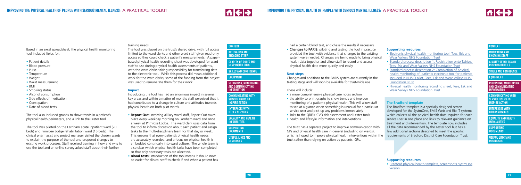



**[RECORDING, MONITORING](#page-13-0)  AND COMMUNICATING INFORMATION**

# **[CONTEXT](#page-5-0)**

**[MOTIVATING AND](#page-5-0) ENGAGING STAFF**

**[CLARITY OF ROLES AND](#page-6-0) RESPONSIBILITIES**

**[SKILLS AND CONFIDENCE](#page-8-0)**

**[EQUIPMENT](#page-12-0)**

**[COMMUNICATING WITH](#page-17-0) SERVICE USERS TO INSPIRE ACTION**

**[INTERFACES WITH](#page-19-0) OTHER SERVICES**

Based in an excel spreadsheet, the physical health monitoring tool included fields for:

- Patient details
- Blood pressure
- Pulse
- Temperature
- Weight
- Waist measurement
- BMI
- Smoking status
- Alcohol consumption
- Side effects of medication
- Constipation
- Date of blood tests

The tool also included graphs to show trends in a patient's physical health perimeters, and a link to the Lester tool.

The tool was piloted on the Farnham acute inpatient ward (20 beds) and Primrose Lodge rehabilitation ward (15 beds). The clinical pharmacist and project manager visited the chosen wards to explain the purpose of the tool and proposed changes to existing work processes. Staff received training in how and why to use the tool and an online survey asked staff about their further

training needs.

**[CLARITY OF ROLES AND](#page-6-0) RESPONSIBILITIES**

The tool was placed on the trust's shared drive, with full access limited to the ward clerks and other ward staff given read-only access so they could check a patient's measurements. A paperbased physical health recording sheet was developed for ward staff to use during physical health assessments of patients, with the ward clerks taking responsibility for transferring data to the electronic tool. While this process did mean additional work for the ward clerks, some of the funding from the project was used to remunerate them for their work.

#### **Impact**

Introducing the tool has had an enormous impact in several key areas and within a matter of months staff perceived that it had contributed to a change in culture and attitudes towards physical health on both pilot wards.

- a more comprehensive physical case notes section
- the ability to print graphs to show trends and improve monitoring of a patient's physical health. This will allow staff to see at a glance when something is unusual for a particular service user and pick up any problems immediately.
- links to the ORISK CVD risk assessment and Lester tools
- health and lifestyle information and interventions
- **Report Out:** involving all key ward staff, Report Out takes place every weekday morning on Farnham ward and once a week at Primrose Lodge. The ward clerk uses data from the tool to inform discussion about each patient and assign tasks to the multi-disciplinary team for that day or week. This ensures that every patient's physical health needs are accurately recorded, and a focus on physical health is embedded continually into ward culture. The whole team is also clear which physical health tasks have been completed so that only necessary tasks are allocated.
- **Blood tests:** introduction of the tool means it should now be easier for clinical staff to check if and when a patient has

**[RECORDING, MONITORING](#page-13-0)  AND COMMUNICATING INFORMATION**

#### **[CONTEXT](#page-5-0)**

**[MOTIVATING AND](#page-5-0) ENGAGING STAFF**

**[SKILLS AND CONFIDENCE](#page-8-0)**

### **[EQUIPMENT](#page-12-0)**

**[COMMUNICATING WITH](#page-17-0) SERVICE USERS TO INSPIRE ACTION**

**[INTERFACES WITH](#page-19-0) OTHER SERVICES**

had a certain blood test, and chase the results if necessary.

• **Changes to PARIS:** piloting and testing the tool in practice provided the trust with evidence that changes to the existing system were needed. Changes are being made to bring physical health data together and allow staff to record and access physical health data more quickly and easily

#### **Next steps**

Changes and additions to the PARIS system are currently in the testing stage and will soon be available for trust-wide use.

These will include:

The trust has a separate project to improve communication with GPs and physical health care in general (including on wards), which is hoped to improve physical health interventions within the trust rather than relying on action by patients' GPs.

#### **Supporting resources**

- [Electronic physical health monitoring tool, Tees, Esk and](http://www.nhsiq.nhs.uk/media/2758111/14._draft_pm_chart_v9_200115.pdf) [Wear Valleys NHS Foundation Trust](http://www.nhsiq.nhs.uk/media/2758111/14._draft_pm_chart_v9_200115.pdf)
- [Standard process description 1: Registration onto T:drive,](http://www.nhsiq.nhs.uk/media/2758116/15._spd_1_-_ward_-_registration_of_users.pdf) [Tees, Esk and Wear Valleys NHS Foundation Trust](http://www.nhsiq.nhs.uk/media/2758116/15._spd_1_-_ward_-_registration_of_users.pdf)
- [Standard process description 2: Completion of physical](http://www.nhsiq.nhs.uk/media/2758121/16._spd_2_-_ward___monitoring_of_patients.pdf) [health monitoring of patients electronic tool for patients](http://www.nhsiq.nhs.uk/media/2758121/16._spd_2_-_ward___monitoring_of_patients.pdf) [included in NHSIQ pilot, Tees, Esk and Wear Valleys NHS](http://www.nhsiq.nhs.uk/media/2758121/16._spd_2_-_ward___monitoring_of_patients.pdf) [Foundation Trust](http://www.nhsiq.nhs.uk/media/2758121/16._spd_2_-_ward___monitoring_of_patients.pdf)
- [Physical health monitoring recording sheet, Tees, Esk and](http://www.nhsiq.nhs.uk/media/2758126/17._physical_health_monitoring_pilot_recording_sheet_v2.pdf) [Wear Valleys NHS Foundation Trust](http://www.nhsiq.nhs.uk/media/2758126/17._physical_health_monitoring_pilot_recording_sheet_v2.pdf)

# **The Bradford template**

The Bradford template is a specially designed screen developed for the SystmOne, EMIS Web and Rio IT systems which collects all the physical health data required for each service user in one place and links to relevant guidance on treatment and intervention. The template now includes all the data recommended by the Lester tool but has a few additional sections designed to meet the specific requirements of Bradford District Care Foundation Trust.

# **Supporting resources**

• [Bradford physical health template, screenshots SystmOne](http://www.nhsiq.nhs.uk/media/2758156/18._bradford_physical_health_template_screenshots_systmone_version.pdf) [version](http://www.nhsiq.nhs.uk/media/2758156/18._bradford_physical_health_template_screenshots_systmone_version.pdf)

**[SUPPORTING](#page-21-0) DOCUMENTS**

**[USEFUL LINKS AND](#page-21-0) RESOURCES**

**[EQUALITY AND HEALTH](#page-20-0) INEQUALITIES**

> **[SUPPORTING](#page-21-0) DOCUMENTS**

**[USEFUL LINKS AND](#page-21-0) RESOURCES**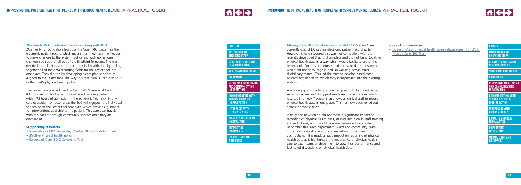



#### **2Gether NHS Foundation Trust – working with RiO**

The Lester care plan is linked to the trust's 'Essence of Care' (EOC) screening tool which is completed for every patient within 72 hours of admission. If the patient is 'high risk' in any cardiovascular risk factor area, the EoC will signpost the individual to then open the Lester tool care plan, which provides guidance for interventions available to the patient. This care plan travels with the patient through community services once they are discharged.

2Gether NHS Foundation Trust use the 'open RIO' system as their electronic patient record which means that they have the freedom to make changes to the system, but cannot pick up national changes such as the roll out of the Bradford Template. The trust decided to make it easier to record physical health data by pulling together all of the data recording fields for the Lester tool into one place. They did this by developing a care plan specifically aligned to the Lester tool. The way this care plan is used is set out in the trust's physical health policy.

**[MOTIVATING AND](#page-5-0) ENGAGING STAFF** 

**[CLARITY OF ROLES AND](#page-6-0) RESPONSIBILITIES**

#### **Supporting resources**

- [Screenshots of RiO template, 2Gether NHS Foundation Trust](http://www.nhsiq.nhs.uk/media/2758131/19._2gether_rio_screenshots.pdf)
- 2 Gether Physical health policy
- [Essence of Care \(EOC\) Screening Tool](http://www.nhsiq.nhs.uk/media/2758066/5._appendix_1_-_essence_of_care__eoc__screening_tool.pdf)

**[RECORDING, MONITORING](#page-13-0)  AND COMMUNICATING INFORMATION**

#### **[CONTEXT](#page-5-0)**

**[SKILLS AND CONFIDENCE](#page-8-0)**

**[EQUIPMENT](#page-12-0)**

**[COMMUNICATING WITH](#page-17-0) SERVICE USERS TO INSPIRE ACTION**

**[COMMUNICATING WITH](#page-17-0) SERVICE USERS TO INSPIRE ACTION** 

**[INTERFACES WITH](#page-19-0) OTHER SERVICES**

**Mersey Care NHS Trust working with EPEX** Mersey Care

currently uses EPEX as their electronic patient record system. However, they discovered this was not compatible with the recently developed Bradford template and did not bring together physical health data in a way which would facilitate use of the Lester tool. Doctors and nurses had access to different screens, which did not encourage joined up working across multidisciplinary teams. This led the trust to develop a dedicated physical health screen, which they incorporated into the existing IT system.

A working group made up of nurses, junior doctors, dieticians, senior clinicians and IT support made recommendations which resulted in a new IT screen that allows all clinical staff to record physical health data in one place. This has now been rolled out across the whole trust.

Initially, the new screen did not make a significant impact on recording of physical health data, despite inclusion in staff training and inductions, and use of the screen remained inconsistent. To combat this, each department, ward and community team introduced a weekly report on completion of the screen for each patient. This made a huge impact on reporting of physical health data as it highlighted the importance of physical health care to each team, enabled them to view their performance and facilitated discussions on physical health data.

**[RECORDING, MONITORING](#page-13-0)  AND COMMUNICATING INFORMATION**

**[CONTEXT](#page-5-0)**

**[MOTIVATING AND](#page-5-0) ENGAGING STAFF [CLARITY OF ROLES AND](#page-6-0) RESPONSIBILITIES**

**[SKILLS AND CONFIDENCE](#page-8-0)**

#### **[EQUIPMENT](#page-12-0)**

**[INTERFACES WITH](#page-19-0) OTHER SERVICES**

#### **Supporting resources**

• [Screenshots of physical health observations screen for EPEX,](http://www.nhsiq.nhs.uk/media/2758146/20._mersey_care_epex_physical_health_observations_screenshots.pdf) [Mersey Care NHS Trust](http://www.nhsiq.nhs.uk/media/2758146/20._mersey_care_epex_physical_health_observations_screenshots.pdf)

**[SUPPORTING](#page-21-0) DOCUMENTS**

**[USEFUL LINKS AND](#page-21-0) RESOURCES**

**[EQUALITY AND HEALTH](#page-20-0) INEQUALITIES**

> **[SUPPORTING](#page-21-0) DOCUMENTS**

**[USEFUL LINKS AND](#page-21-0) RESOURCES**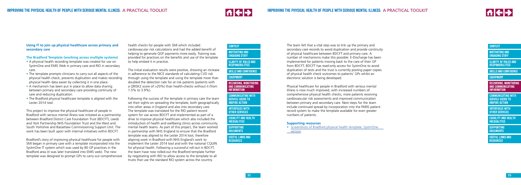# 相←→



**[COMMUNICATING WITH](#page-17-0) SERVICE USERS TO INSPIRE ACTION** 

**[RECORDING, MONITORING](#page-13-0)  AND COMMUNICATING INFORMATION**

# **[CONTEXT](#page-5-0)**

**[MOTIVATING AND](#page-5-0) ENGAGING STAFF**

**[CLARITY OF ROLES AND](#page-6-0) RESPONSIBILITIES**

**[SKILLS AND CONFIDENCE](#page-8-0)**

### **[EQUIPMENT](#page-12-0)**

**[INTERFACES WITH](#page-19-0) OTHER SERVICES**

The team felt that a vital step was to link up the primary and secondary care records to avoid duplication and provide continuity of physical healthcare between BDCFT and primary care. A number of mechanisms make this possible: E-Discharge has been implemented for patients moving back to the care of their GP from BDCFT, BDCFT has read-only access for SystmOne to avoid duplication of tests and the trust is currently posting paper copies of physical health check outcomes to patients' GPs whilst an electronic solution is being developed.

• [Screenshots of Bradford physical health template, SystmOne](http://www.nhsiq.nhs.uk/media/2758156/18._bradford_physical_health_template_screenshots_systmone_version.pdf) <u>[version](http://www.nhsiq.nhs.uk/media/2758156/18._bradford_physical_health_template_screenshots_systmone_version.pdf)</u>

Physical healthcare for people in Bradford with serious mental illness is now much improved, with increased numbers of comprehensive physical health checks, more patients receiving cardiovascular risk assessments and improved communication between primary and secondary care. Next steps for the team include continued spread by incorporation into the PARIS patient record system to make the template available for even greater numbers of patients.

#### **Supporting resources**

**[RECORDING, MONITORING](#page-13-0)  AND COMMUNICATING INFORMATION**



**[MOTIVATING AND](#page-5-0) ENGAGING STAFF**

**[CLARITY OF ROLES AND](#page-6-0) RESPONSIBILITIES**

**[SKILLS AND CONFIDENCE](#page-8-0)**

#### **[EQUIPMENT](#page-12-0)**

**[COMMUNICATING WITH](#page-17-0) SERVICE USERS TO INSPIRE ACTION**

**[INTERFACES WITH](#page-19-0) OTHER SERVICES**

# **Using IT to join up physical healthcare across primary and secondary care**

# **The Bradford Template (working across multiple systems)**

- A physical health recording template was created for use on SystmOne and EMIS Web in primary care and RIO in secondary care.
- The template prompts clinicians to carry out all aspects of the physical health check, prevents duplication and makes recording physical health data easier by collecting it in one place.
- A mechanism has been put in place to allow data sharing between primary and secondary care providing continuity of care and reducing duplication.
- The Bradford physical healthcare template is aligned with the Lester 2014 tool.

This project to improve the physical healthcare of people in Bradford with serious mental illness was initiated as a partnership between Bradford District Care Foundation Trust (BDCFT), Leeds and York Partnership NHS Foundation Trust and the West and South Yorkshire and Bassetlaw Commissioning Support Unit. The work has been built upon with internal initiatives within BDCFT.

Bradford's story of improving physical healthcare for people with SMI began in primary care with a template incorporated into the SystmOne IT system which was used by 80 GP practices in the Bradford area (it was later translated into EMIS web). The new template was designed to prompt GPs to carry out comprehensive

health checks for people with SMI which included cardiovascular risk calculations and had the added benefit of helping to generate QOF payments more easily. Training was provided for practices on the benefits and use of the template to help embed it in practice.

The initial evaluation results were positive, showing an increase in adherence to the NICE standards of calculating CVD risk through using the template and using the template more than doubled the detection rate for at risk patients (patients with a QRISK2 score of >20%) than health-checks without it (from 1.5% to 3.9%).

Following the success of the template in primary care the team set their sights on spreading the template, both geographically into other areas in England and also into secondary care. The template was translated for the RIO patient record system for use across BDCFT and implemented as part of a drive to improve physical healthcare which also included the introduction of health and wellbeing clinics across community mental health teams. As part of this project, the team worked in partnership with NHS England to ensure that the Bradford template was aligned to the Lester 2014 tool, therefore aligning work in Bradford with NHS England's work to implement the Lester 2014 tool and with the national CQUIN for physical health. Following a successful roll-out in BDCFT, the team have now rolled-out the Bradford template further by negotiating with RIO to allow access to the template to all trusts that use the standard RIO system across the country.

**[SUPPORTING](#page-21-0) DOCUMENTS**

**[USEFUL LINKS AND](#page-21-0) RESOURCES**

**[EQUALITY AND HEALTH](#page-20-0) INEQUALITIES**

> **[SUPPORTING](#page-21-0) DOCUMENTS**

**[USEFUL LINKS AND](#page-21-0) RESOURCES**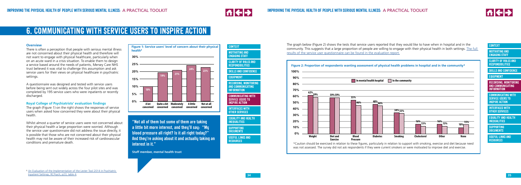



**[RECORDING, MONITORING](#page-13-0)  AND COMMUNICATING INFORMATION**

#### **[CONTEXT](#page-5-0)**

**[MOTIVATING AND](#page-5-0) ENGAGING STAFF**

**[CLARITY OF ROLES AND](#page-6-0) RESPONSIBILITIES**

**[SKILLS AND CONFIDENCE](#page-8-0)**

# **[EQUIPMENT](#page-12-0)**

**COMMUNICATING WITH SERVICE USERS TO INSPIRE ACTION**

**[INTERFACES WITH](#page-19-0) OTHER SERVICES**

#### **Overview**

There is often a perception that people with serious mental illness are not concerned about their physical health and therefore will not want to engage with physical healthcare, particularly when on an acute ward in a crisis situation. To enable them to design a service based around the needs of patients, Mersey Care NHS trust believed it was vital to challenge this assumption and ask service users for their views on physical healthcare in psychiatric settings.

A questionnaire was designed and tested with service users before being sent out widely across the four pilot sites and was completed by 195 service users who were inpatients or recently discharged.

# **Royal College of Psychiatrists' evaluation findings**

The graph (Figure 1) on the right shows the responses of service users when asked how concerned they were about their physical health.

Whilst almost a quarter of service users were not concerned about their physical health a large proportion were worried. Although the service user questionnaire did not address the issue directly, it is possible that those who are not concerned about their physical health may not be aware of their increased risk of cardiovascular conditions and premature death.

# <span id="page-17-0"></span>**6. COMMUNICATING WITH SERVICE USERS TO INSPIRE ACTION**

**Figure 1: Service users' level of concern about their physical health8 30% 25% 20% 15% 10% 5% 0% A lot concerned concerned concerned Quite a bit Moderately A little concerned Not at all concerned 10% 19% 21% 24% 23%**

<sup>8</sup> [An Evaluation of the Implementation of the Lester Tool 2014 in Psychiatric](http://www.rcpsych.ac.uk/workinpsychiatry/qualityimprovement/research/lesterevaluation-1.aspx)  [Inpatient Settings, RCPsych, p23, table 4.](http://www.rcpsych.ac.uk/workinpsychiatry/qualityimprovement/research/lesterevaluation-1.aspx)

**"Not all of them but some of them are taking a little bit more interest, and they'll say: "My blood pressure all right? Is it all right today?" And they're asking about it and actually taking an interest in it."**

**Staff member, mental health trust**

**[CONTEXT](#page-5-0)**

**[MOTIVATING AND](#page-5-0) ENGAGING STAFF**



\*Caution should be exercised in relation to these figures, particularly in relation to support with smoking, exercise and diet because need was not assessed. The survey did not ask respondents if they were current smokers or were motivated to improve diet and exercise.

The graph below (Figure 2) shows the tests that service users reported that they would like to have when in hospital and in the community. This suggests that a large proportion of people are willing to engage with their physical health in both settings. [The full](http://www.rcpsych.ac.uk/workinpsychiatry/qualityimprovement/research/lesterevaluation-1.aspx)  [results of the service user questionnaire can be found in the evaluation report.](http://www.rcpsych.ac.uk/workinpsychiatry/qualityimprovement/research/lesterevaluation-1.aspx)

**[SUPPORTING](#page-21-0) DOCUMENTS**

**[USEFUL LINKS AND](#page-21-0) RESOURCES**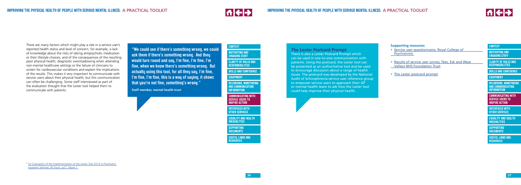



**[RECORDING, MONITORING](#page-13-0)  AND COMMUNICATING INFORMATION**

#### **[CONTEXT](#page-5-0)**

**[CLARITY OF ROLES AND](#page-6-0) RESPONSIBILITIES**

**[SKILLS AND CONFIDENCE](#page-8-0)**

#### **[EQUIPMENT](#page-12-0)**

**[COMMUNICATING WITH](#page-17-0) SERVICE USERS TO INSPIRE ACTION**

**[INTERFACES WITH](#page-19-0) OTHER SERVICES**

There are many factors which might play a role in a service user's reported health status and level of concern, for example, a lack of knowledge about the risks of taking antipsychotic medication or their lifestyle choices, and of the consequences of the resulting poor physical health, diagnostic overshadowing when attending non-mental healthcare settings or the failure of clinicians to screen for cardiovascular conditions and explain the implications of the results. This makes it very important to communicate with service users about their physical health, but this communication can often be challenging. Some staff interviewed as part of the evaluation thought that the Lester tool helped them to communicate with patients.

**[MOTIVATING AND](#page-5-0) ENGAGING STAFF** 

# **The Lester Postcard Prompt**

There is also a Lester Postcard Prompt which can be used in one-to-one communication with patients. Using the postcard, the Lester tool can be presented as an authoritative tool and be used to encourage discussion about a range of health issues. The postcard was developed by the National Audit of Schizophrenia service user reference group to empower service users to approach their GP or mental health team to ask how the Lester tool could help improve their physical health.

### **Supporting resources**

- [Service user questionnaire, Royal College of](http://www.nhsiq.nhs.uk/media/2758161/21._royal_college_of_psychiatrists_-_service_user_questionnare.pdf) **Psychiatrists**
- [Results of service user survey, Tees, Esk and Wear](http://www.nhsiq.nhs.uk/media/2758166/22._tewv_service_user_survey_communiations_briefing_-_breakdown_of_results.pdf) [Valleys NHS Foundation Trust](http://www.nhsiq.nhs.uk/media/2758166/22._tewv_service_user_survey_communiations_briefing_-_breakdown_of_results.pdf)
- [The Lester postcard prompt](http://www.rcpsych.ac.uk/pdf/LesterPostcardPrompt.pdf)

**[RECORDING, MONITORING](#page-13-0)  AND COMMUNICATING INFORMATION**

# **[CONTEXT](#page-5-0)**

**[CLARITY OF ROLES AND](#page-6-0) RESPONSIBILITIES**

**[SKILLS AND CONFIDENCE](#page-8-0)**

# **[EQUIPMENT](#page-12-0)**

**[COMMUNICATING WITH](#page-17-0) SERVICE USERS TO INSPIRE ACTION**

**[INTERFACES WITH](#page-19-0) OTHER SERVICES**

**"We could see if there's something wrong, we could ask them if there's something wrong. And they would turn round and say, I'm fine, I'm fine, I'm fine, when we know there's something wrong. But actually using this tool, for all they say, I'm fine, I'm fine, I'm fine, this is a way of saying, it shows that you're not fine, something's wrong."**

**Staff member, mental health trust**

**[SUPPORTING](#page-21-0) DOCUMENTS**

**[USEFUL LINKS AND](#page-21-0) RESOURCES**

**[EQUALITY AND HEALTH](#page-20-0) INEQUALITIES**

> **[SUPPORTING](#page-21-0) DOCUMENTS**

**[USEFUL LINKS AND](#page-21-0) RESOURCES**

<sup>9</sup> [An Evaluation of the Implementation of the Lester Tool 2014 in Psychiatric](http://www.rcpsych.ac.uk/workinpsychiatry/qualityimprovement/research/lesterevaluation-1.aspx)  [Inpatient Settings, RCPsych, p27, figure 1.](http://www.rcpsych.ac.uk/workinpsychiatry/qualityimprovement/research/lesterevaluation-1.aspx)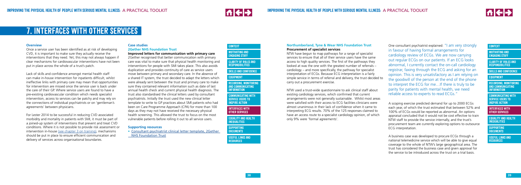

# **AI + >**

**[COMMUNICATING WITH](#page-17-0) SERVICE USERS TO INSPIRE ACTION** 

**[RECORDING, MONITORING](#page-13-0)  AND COMMUNICATING INFORMATION**

# **[CONTEXT](#page-5-0)**

**[MOTIVATING AND](#page-5-0) ENGAGING STAFF**

**[CLARITY OF ROLES AND](#page-6-0) RESPONSIBILITIES**

**[SKILLS AND CONFIDENCE](#page-8-0)**

# **[EQUIPMENT](#page-12-0)**

**INTERFACES WITH OTHER SERVICES**

#### **Overview**

Once a service user has been identified as at risk of developing CVD, it is important to make sure they actually receive the interventions that they need. Yet, this may not always happen if clear mechanisms for cardiovascular interventions have not been put in place across the whole of a trust's patch.

Lack of skills and confidence amongst mental health staff can make in-house intervention for inpatients difficult, whilst ineffective links with primary care may mean that opportunities for intervention are missed once the service user is back under the care of their GP. Where service users are found to have a pre-existing cardiovascular condition which needs specialist intervention, access to services can be patchy and may rely on the connections of individual psychiatrists or on 'gentleman's agreements' between physicians.

For Lester 2014 to be successful in reducing CVD associated morbidity and mortality in patients with SMI, it must be part of a joined-up system of interventions that prevent and treat CVD conditions. Where it is not possible to provide risk assessment or intervention in-hous[e \(see chapter 3 on training\),](#page-8-0) mechanisms should be put in place to ensure efficient communication and delivery of services across organisational boundaries.

**[MOTIVATING AND](#page-5-0) ENGAGING STAFF** 

# <span id="page-19-0"></span>**7. INTERFACES WITH OTHER SERVICES**

# **Case studies**

#### **2Gether NHS Foundation Trust Improved letters for communication with primary care**

2Gether recognised that better communication with primary care was vital to make sure that physical health monitoring and interventions for people with SMI takes place. This also avoids duplication and provides continuity of care as service users move between primary and secondary care. In the absence of a shared IT system, the trust decided to adapt the letters which were already sent between the trust and primary care to make sure they contained relevant information such as date of last annual health check and current physical health diagnosis. The trust also standardised the clinical letters used by consultant psychiatrists. Initially the trust used the new clinical letter template to write to GP practices about SMI patients who had been on Care Programme Approach (CPA) for more than 100 days as they may not have received the necessary physical health screening. This allowed the trust to focus on the most vulnerable patients before rolling it out to all service users.

# **Supporting resources**

• [Consultant psychiatrist clinical letter template, 2Gether](http://www.nhsiq.nhs.uk/media/2758171/23._2gether_consultant_psychiatrist_clinical_letter_-_template.pdf) [NHS Foundation Trust](http://www.nhsiq.nhs.uk/media/2758171/23._2gether_consultant_psychiatrist_clinical_letter_-_template.pdf)

**[RECORDING, MONITORING](#page-13-0)  AND COMMUNICATING INFORMATION**

#### **[CONTEXT](#page-5-0)**

**[CLARITY OF ROLES AND](#page-6-0) RESPONSIBILITIES**

**[SKILLS AND CONFIDENCE](#page-8-0)**

# **[EQUIPMENT](#page-12-0)**

**[COMMUNICATING WITH](#page-17-0) SERVICE USERS TO INSPIRE ACTION**

**INTERFACES WITH OTHER SERVICES**

#### **Northumberland, Tyne & Wear NHS Foundation Trust Procurement of specialist services**

NTW have begun to map pathways for a range of specialist services to ensure that all of their service users have the same access to high quality services. The first of the pathways they looked at was the one with the greatest number of referrals – cardiology – and more specifically, the pathway for specialist interpretation of ECGs. Because ECG interpretation is a fairly simple service in terms of referral and delivery, the trust decided to carry out a procurement exercise.

NTW used a trust-wide questionnaire to ask clinical staff about existing cardiology services, which confirmed that current arrangements were not generally sustainable. Whilst most areas were satisfied with their access to ECG facilities clinicians were almost unanimous in their lack of confidence when it came to interpreting ECG results. 70% of the 125 responses claimed to have an access route to a specialist cardiology opinion, of which only 9% were 'formal agreements'.

One consultant psychiatrist explained: "I am very strongly in favour of having formal arrangements for cardiology review of ECGs. We are now carrying out regular ECGs on our patients. If an ECG looks abnormal, I currently contact the on-call cardiology registrar, faxing through the ECG and asking for an opinion. This is very unsatisfactory as I am relying on the goodwill of the person at the end of the phone to interpret the ECG for me…If there is truly to be parity for patients with mental health, we need reliable access to experts to read ECGs."

A scoping exercise predicted demand for up to 2000 ECGs each year, of which the trust estimated that between 52% and 100% of ECGs would be reported as abnormal. An options appraisal concluded that it would not be cost effective to train NTW staff to provide the service internally, and the trust's procurement team are currently exploring options to outsource ECG interpretation.

A business case was developed to procure ECGs through a national telemedicine service which will be able to give equal coverage to the whole of NTW's large geographical area. The trust has considered the business case and given approval for the service to be introduced across the trust on a trial basis.

**[SUPPORTING](#page-21-0) DOCUMENTS**

**[USEFUL LINKS AND](#page-21-0) RESOURCES**

**[EQUALITY AND HEALTH](#page-20-0) INEQUALITIES**

> **[SUPPORTING](#page-21-0) DOCUMENTS**

**[USEFUL LINKS AND](#page-21-0) RESOURCES**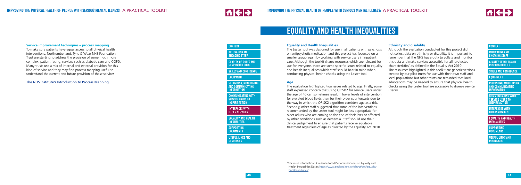



**[CLARITY OF ROLES AND](#page-6-0) RESPONSIBILITIES**

**[RECORDING, MONITORING](#page-13-0)  AND COMMUNICATING INFORMATION**

**[INTERFACES WITH](#page-19-0) OTHER SERVICES**

### **[CONTEXT](#page-5-0)**

**[SKILLS AND CONFIDENCE](#page-8-0)**

**[EQUIPMENT](#page-12-0)**

**[COMMUNICATING WITH](#page-17-0) SERVICE USERS TO INSPIRE ACTION**

# <span id="page-20-0"></span>**Service improvement techniques – process mapping**

To make sure patients have equal access to all physical health interventions, Northumberland, Tyne & Wear NHS Foundation Trust are starting to address the provision of some much more complex, patient facing, services such as diabetic care and COPD. Many trusts use a mix of internal and external provision for this kind of service and they may find process mapping useful to understand the current and future provision of these services.

[The NHS Institute's Introduction to Process Mapping](http://www.nhsiq.nhs.uk/media/2768545/1_2pm_nov05_1_.pdf)

#### **Equality and Health Inequalities**

Although the evaluation conducted for this project did not collect data on ethnicity or disability, it is important to remember that the NHS has a duty to collate and monitor this data and make services accessible for all 'protected characteristics' as defined in the Equality Act 2010. The resources highlighted in this toolkit are generic versions created by our pilot trusts for use with their own staff and local populations but other trusts are reminded that local adaptations may be needed to ensure that physical health checks using the Lester tool are accessible to diverse service users<sup>10</sup>.

The Lester tool was designed for use in all patients with psychosis on antipsychotic medication and this project has focussed on a smaller group again by working with service users in inpatient care. Although the toolkit shares resources which are relevant for use for everyone, there are some specific issues related to equality and health inequalities which staff should bear in mind when conducting physical health checks using the Lester tool.

**[MOTIVATING AND](#page-5-0) ENGAGING STAFF** 

**[COMMUNICATING WITH](#page-17-0) SERVICE USERS TO INSPIRE ACTION**

#### **Age**

The evaluation highlighted two issues related to age. Firstly, some staff expressed concern that using QRISK2 for service users under the age of 40 can sometimes result in lower levels of intervention for elevated blood lipids than for their older counterparts due to the way in which the QRISK2 algorithm considers age as a risk. Secondly, other staff suggested that some of the interventions recommended by the Lester tool might be less appropriate for older adults who are coming to the end of their lives or affected by other conditions such as dementia. Staff should use their clinical judgement to ensure that patients receive equitable treatment regardless of age as directed by the Equality Act 2010.

### **Ethnicity and disability**

**[RECORDING, MONITORING](#page-13-0)  AND COMMUNICATING INFORMATION**

#### **[CONTEXT](#page-5-0)**

**[CLARITY OF ROLES AND](#page-6-0) RESPONSIBILITIES**

**[SKILLS AND CONFIDENCE](#page-8-0)**

#### **[EQUIPMENT](#page-12-0)**

**[INTERFACES WITH](#page-19-0) OTHER SERVICES**

# **EQUALITY AND HEALTH INEQUALITIES**

**[SUPPORTING](#page-21-0) DOCUMENTS**

**[USEFUL LINKS AND](#page-21-0) RESOURCES**

**EQUALITY AND HEALTH INEQUALITIES**

> **[SUPPORTING](#page-21-0) DOCUMENTS**

**[USEFUL LINKS AND](#page-21-0) RESOURCES**

<sup>&</sup>lt;sup>10</sup>For more information: Guidance for NHS Commissioners on Equality and Health Inequalities Duties https://www.england.nhs.uk/about/gov/equalityhub/legal-duties/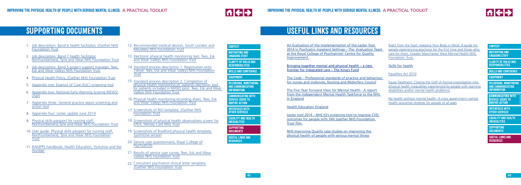



[An Evaluation of the Implementation of the Lester Tool](http://www.rcpsych.ac.uk/workinpsychiatry/qualityimprovement/research/lesterevaluation-1.aspx)  [2014 in Psychiatric Inpatient Settings – The Evaluation Team](http://www.rcpsych.ac.uk/workinpsychiatry/qualityimprovement/research/lesterevaluation-1.aspx)  [at the Royal College of Psychiatrists' Centre for Quality](http://www.rcpsych.ac.uk/workinpsychiatry/qualityimprovement/research/lesterevaluation-1.aspx)  [Improvement.](http://www.rcpsych.ac.uk/workinpsychiatry/qualityimprovement/research/lesterevaluation-1.aspx)

[Bringing together mental and physical health – a new](http://www.kingsfund.org.uk/publications/physical-and-mental-health)  [frontier for integrated care – The King's Fund](http://www.kingsfund.org.uk/publications/physical-and-mental-health)

[The Code – Professional standards of practice and behaviour](https://www.nmc.org.uk/globalassets/sitedocuments/nmc-publications/nmc-code.pdf)  [for nurses and midwives, Nursing and Midwifery Council](https://www.nmc.org.uk/globalassets/sitedocuments/nmc-publications/nmc-code.pdf)

[The Five Year Forward View for Mental Health - A report](https://www.england.nhs.uk/wp-content/uploads/2016/02/Mental-Health-Taskforce-FYFV-final.pdf)  [from the independent Mental Health Taskforce to the NHS](https://www.england.nhs.uk/wp-content/uploads/2016/02/Mental-Health-Taskforce-FYFV-final.pdf)  [in England](https://www.england.nhs.uk/wp-content/uploads/2016/02/Mental-Health-Taskforce-FYFV-final.pdf)

[Health Education England](https://hee.nhs.uk/)

[Lester tool 2014 – NHS IQ's screening tool to improve CVD](http://www.nhsiq.nhs.uk/improvement-programmes/living-longer-lives/cardiovascular-disease-outcomes-strategy/cvd-case-studies.aspx#sthash.TWdntKu4.dpuf)  [outcomes for people with SMI 2gether NHS Foundation](http://www.nhsiq.nhs.uk/improvement-programmes/living-longer-lives/cardiovascular-disease-outcomes-strategy/cvd-case-studies.aspx#sthash.TWdntKu4.dpuf)  [Trust film](http://www.nhsiq.nhs.uk/improvement-programmes/living-longer-lives/cardiovascular-disease-outcomes-strategy/cvd-case-studies.aspx#sthash.TWdntKu4.dpuf) 

**[COMMUNICATING WITH](#page-17-0) SERVICE USERS TO INSPIRE ACTION**

[NHS Improving Quality](http://www.nhsiq.nhs.uk/improvement-programmes/living-longer-lives/cardiovascular-disease-outcomes-strategy/cvd-case-studies.aspx) case studies on improving the physical health of people with serious mental illness

[Right from the Start: Keeping Your Body in Mind, A guide for](http://www.nhsiq.nhs.uk/media/2758176/24._right_from_the_start_keeping_your_body_in_mind.pdf)  [people experiencing psychosis for the first time and those who](http://www.nhsiq.nhs.uk/media/2758176/24._right_from_the_start_keeping_your_body_in_mind.pdf)  [care for them, Greater Manchester West Mental Health NHS](http://www.nhsiq.nhs.uk/media/2758176/24._right_from_the_start_keeping_your_body_in_mind.pdf)  [Foundation Trust.](http://www.nhsiq.nhs.uk/media/2758176/24._right_from_the_start_keeping_your_body_in_mind.pdf)

[Skills for health](http://www.skillsforhealth.org.uk/)

#### [Equalities Act 2010](https://www.gov.uk/guidance/equality-act-2010-guidance)

[Equal Treatment: Closing the GAP \(A formal investigation into](http://disability-studies.leeds.ac.uk/files/library/DRC-Health-FI-main.pdf)  [physical health inequalities experienced by people with learning](http://disability-studies.leeds.ac.uk/files/library/DRC-Health-FI-main.pdf) [disabilities and/or mental health problems\)](http://disability-studies.leeds.ac.uk/files/library/DRC-Health-FI-main.pdf)

[No health without mental health: A cross government mental](https://www.gov.uk/government/publications/no-health-without-mental-health-a-cross-government-mental-health-outcomes-strategy-for-people-of-all-ages-a-call-to-action)  [health outcomes strategy for people of all ages](https://www.gov.uk/government/publications/no-health-without-mental-health-a-cross-government-mental-health-outcomes-strategy-for-people-of-all-ages-a-call-to-action)

**[RECORDING, MONITORING](#page-13-0)  AND COMMUNICATING INFORMATION**

#### **[CONTEXT](#page-5-0)**

**[MOTIVATING AND](#page-5-0) ENGAGING STAFF**

**[CLARITY OF ROLES AND](#page-6-0) RESPONSIBILITIES**

**[SKILLS AND CONFIDENCE](#page-8-0)**

#### **[EQUIPMENT](#page-12-0)**

**[INTERFACES WITH](#page-19-0) OTHER SERVICES**

# **USEFUL LINKS AND RESOURCES**

**[RECORDING, MONITORING](#page-13-0)  AND COMMUNICATING INFORMATION**

# **[CONTEXT](#page-5-0)**

**[MOTIVATING AND](#page-5-0) ENGAGING STAFF**

**[CLARITY OF ROLES AND](#page-6-0) RESPONSIBILITIES**

**[SKILLS AND CONFIDENCE](#page-8-0)**

# **[EQUIPMENT](#page-12-0)**

**[COMMUNICATING WITH](#page-17-0) SERVICE USERS TO INSPIRE ACTION**

**[INTERFACES WITH](#page-19-0) OTHER SERVICES**

- 1. [Job description: Band 6 health facilitator, 2Gether NHS](http://www.nhsiq.nhs.uk/media/2758046/1._physical_health_facilitator_jd___ps_amended.pdf) [Foundation Trust](http://www.nhsiq.nhs.uk/media/2758046/1._physical_health_facilitator_jd___ps_amended.pdf)
- 2. [Job description: Band 7 health facilitator,](http://www.nhsiq.nhs.uk/media/2758051/2._ntw_jd_-_band_7_project_manager.pdf) [Northumberland, Tyne and Wear NHS Foundation Trust](http://www.nhsiq.nhs.uk/media/2758051/2._ntw_jd_-_band_7_project_manager.pdf)
- 3. [Job description: Band 5 project support manager, Tees,](http://www.nhsiq.nhs.uk/media/2758056/3._job_description_-_band_5_project_support_manager__nhsiq_.pdf) [Esk and Wear Valleys NHS Foundation Trust](http://www.nhsiq.nhs.uk/media/2758056/3._job_description_-_band_5_project_support_manager__nhsiq_.pdf)
- 4. [Physical Health Policy, 2Gether NHS Foundation Trust](http://www.nhsiq.nhs.uk/media/2758061/4._2gether_physical_health_policy.pdf)
- 5. [Appendix one: Essence of Care \(EoC\) screening tool](http://www.nhsiq.nhs.uk/media/2758066/5._appendix_1_-_essence_of_care__eoc__screening_tool.pdf)
- 6. [Appendix two: National Early Warning Scoring \(NEWS\)](http://www.nhsiq.nhs.uk/media/2758071/6._appendix_2_-_national_early_warning_scoring__news__chart.pdf) [chart](http://www.nhsiq.nhs.uk/media/2758071/6._appendix_2_-_national_early_warning_scoring__news__chart.pdf)
- 7. [Appendix three: General practice sepsis screening and](http://www.nhsiq.nhs.uk/media/2758076/7._appendix_3_-_general_practice_sepsis_screening_and_action_tool.pdf) [action tool](http://www.nhsiq.nhs.uk/media/2758076/7._appendix_3_-_general_practice_sepsis_screening_and_action_tool.pdf)
- 8. [Appendix four: Lester update June 2014](http://www.nhsiq.nhs.uk/media/2758081/8._appendix_4_-_lester_update_june_2014_final.pdf)
- 9. [Physical skills passport for nursing staff,](http://www.nhsiq.nhs.uk/media/2758086/9._physical_health_passport_march_2016_updated_logo_and_copyright.pdf) [Northumberland,Tyne and Wear NHS Foundation Trust](http://www.nhsiq.nhs.uk/media/2758086/9._physical_health_passport_march_2016_updated_logo_and_copyright.pdf)
- 10. [User guide: Physical skills passport for nursing staff,](http://www.nhsiq.nhs.uk/media/2758091/10._user_guide_physical_health_skills_passport_final_february_2016.pdf) [Northumberland, Tyne and Wear NHS Foundation](http://www.nhsiq.nhs.uk/media/2758091/10._user_guide_physical_health_skills_passport_final_february_2016.pdf)  Trust
- 11. [RAMPPS handbook, Health Education, Yorkshire and the](http://www.nhsiq.nhs.uk/media/2758101/12._rampps_handbook_low_res_version_final.pdf) [Humber](http://www.nhsiq.nhs.uk/media/2758101/12._rampps_handbook_low_res_version_final.pdf)

# <span id="page-21-0"></span>**SUPPORTING DOCUMENTS**

- 13. [Recommended medical devices, South London and](http://www.nhsiq.nhs.uk/media/2758106/13._slam_-_recommended_medical_devices_for_physical_healthcare.pdf) 12. [Maudsley NHS Foundation Trust](http://www.nhsiq.nhs.uk/media/2758106/13._slam_-_recommended_medical_devices_for_physical_healthcare.pdf)
- 13. [Electronic physical health monitoring tool, Tees, Esk](http://www.nhsiq.nhs.uk/media/2758111/14._draft_pm_chart_v9_200115.pdf) [and Wear Valleys NHS Foundation Trust](http://www.nhsiq.nhs.uk/media/2758111/14._draft_pm_chart_v9_200115.pdf)
- 14. [Standard process description 1: Registration onto](http://www.nhsiq.nhs.uk/media/2758116/15._spd_1_-_ward_-_registration_of_users.pdf) [T:drive, Tees, Esk and Wear Valleys NHS Foundation](http://www.nhsiq.nhs.uk/media/2758116/15._spd_1_-_ward_-_registration_of_users.pdf) **[Trust](http://www.nhsiq.nhs.uk/media/2758116/15._spd_1_-_ward_-_registration_of_users.pdf)**
- 15. [Standard process description 2: Completion of](http://www.nhsiq.nhs.uk/media/2758121/16._spd_2_-_ward___monitoring_of_patients.pdf) [physical health monitoring of patients electronic tool](http://www.nhsiq.nhs.uk/media/2758121/16._spd_2_-_ward___monitoring_of_patients.pdf)  for patients included in NHSIQ pilot, Tees, Esk and Wear [Valleys NHS Foundation Trust](http://www.nhsiq.nhs.uk/media/2758121/16._spd_2_-_ward___monitoring_of_patients.pdf)
- 16. [Physical health monitoring recording sheet, Tees, Esk](http://www.nhsiq.nhs.uk/media/2758126/17._physical_health_monitoring_pilot_recording_sheet_v2.pdf) [and Wear Valleys NHS Foundation Trust](http://www.nhsiq.nhs.uk/media/2758126/17._physical_health_monitoring_pilot_recording_sheet_v2.pdf) 16.
- 17. [Screenshots of RiO template, 2Gether NHS](http://www.nhsiq.nhs.uk/media/2758131/19._2gether_rio_screenshots.pdf) [Foundation Trust](http://www.nhsiq.nhs.uk/media/2758131/19._2gether_rio_screenshots.pdf)
- 18. [Screenshots of physical health observations screen for](http://www.nhsiq.nhs.uk/media/2758146/20._mersey_care_epex_physical_health_observations_screenshots.pdf) [EPEX, Mersey Care NHS Trust](http://www.nhsiq.nhs.uk/media/2758146/20._mersey_care_epex_physical_health_observations_screenshots.pdf)
- 19. [Screenshots of Bradford physical health template,](http://www.nhsiq.nhs.uk/media/2758156/18._bradford_physical_health_template_screenshots_systmone_version.pdf) [SystmOne version](http://www.nhsiq.nhs.uk/media/2758156/18._bradford_physical_health_template_screenshots_systmone_version.pdf)
- 20. [Service user questionnaire, Royal College of](http://www.nhsiq.nhs.uk/media/2758161/21._royal_college_of_psychiatrists_-_service_user_questionnare.pdf) [Psychiatrists](http://www.nhsiq.nhs.uk/media/2758161/21._royal_college_of_psychiatrists_-_service_user_questionnare.pdf)
- 21. [Results of service user survey, Tees, Esk and Wear](http://www.nhsiq.nhs.uk/media/2758166/22._tewv_service_user_survey_communiations_briefing_-_breakdown_of_results.pdf) [Valleys NHS Foundation Trust](http://www.nhsiq.nhs.uk/media/2758166/22._tewv_service_user_survey_communiations_briefing_-_breakdown_of_results.pdf)
- 23. [Consultant psychiatrist clinical letter template,](http://www.nhsiq.nhs.uk/media/2758171/23._2gether_consultant_psychiatrist_clinical_letter_-_template.pdf) 22.[2Gether NHS Foundation Trust](http://www.nhsiq.nhs.uk/media/2758171/23._2gether_consultant_psychiatrist_clinical_letter_-_template.pdf)

**SUPPORTING DOCUMENTS**

**USEFUL LINKS AND RESOURCES**

**[EQUALITY AND HEALTH](#page-20-0) INEQUALITIES**

> **SUPPORTING DOCUMENTS**

**USEFUL LINKS AND RESOURCES**